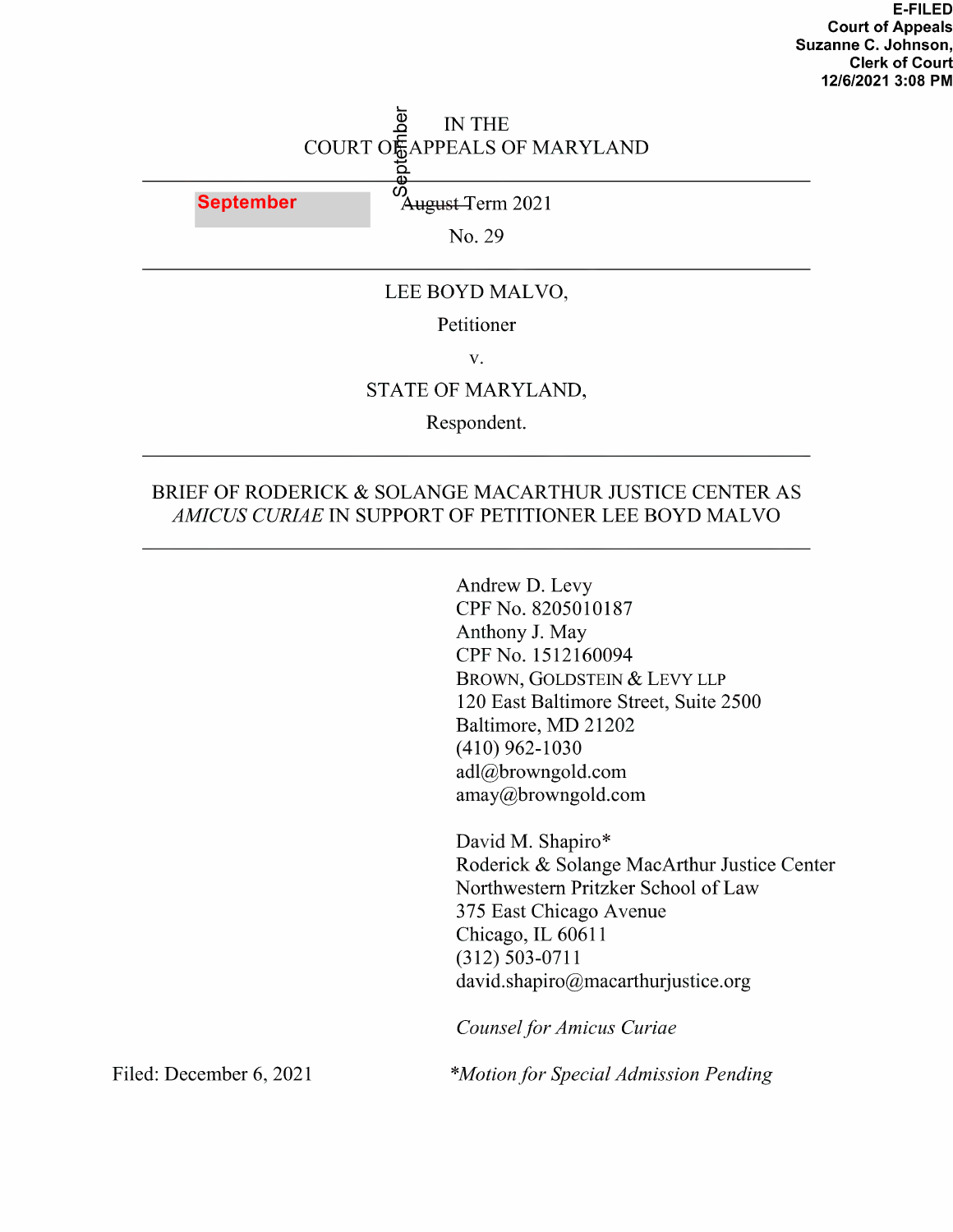# IN THE COURT OF APPEALS OF MARYLAND '5.

September Maugust–Term 2021

N0. 29

### LEE BOYD MALVO,

### Petitioner

V.

#### STATE OF MARYLAND,

Respondent.

### BRIEF OF RODERICK & SOLANGE MACARTHUR JUSTICE CENTER AS AMICUS CURIAE IN SUPPORT OF PETITIONER LEE BOYD MALVO

Andrew D. Levy CPF No. <sup>8205010187</sup> Anthony J. May CPF No. <sup>1512160094</sup> BROWN, GOLDSTEIN & LEVY LLP 120 East Baltimore Street, Suite 2500 Baltimore, MD 21202 (410) 962-1030 adl@browngold.eom amay@browngold.com

David M. Shapiro\* Roderick & Solange MacArthur Justice Center Northwestern Pritzker School of Law 375 East Chicago Avenue Chicago, IL <sup>60611</sup> (312) 503-0711 daVid.shapiro@macarthurjustice.org

Counsel for Amicus Curiae

Filed: December 6, 2021 \*Motion for Special Admission Pending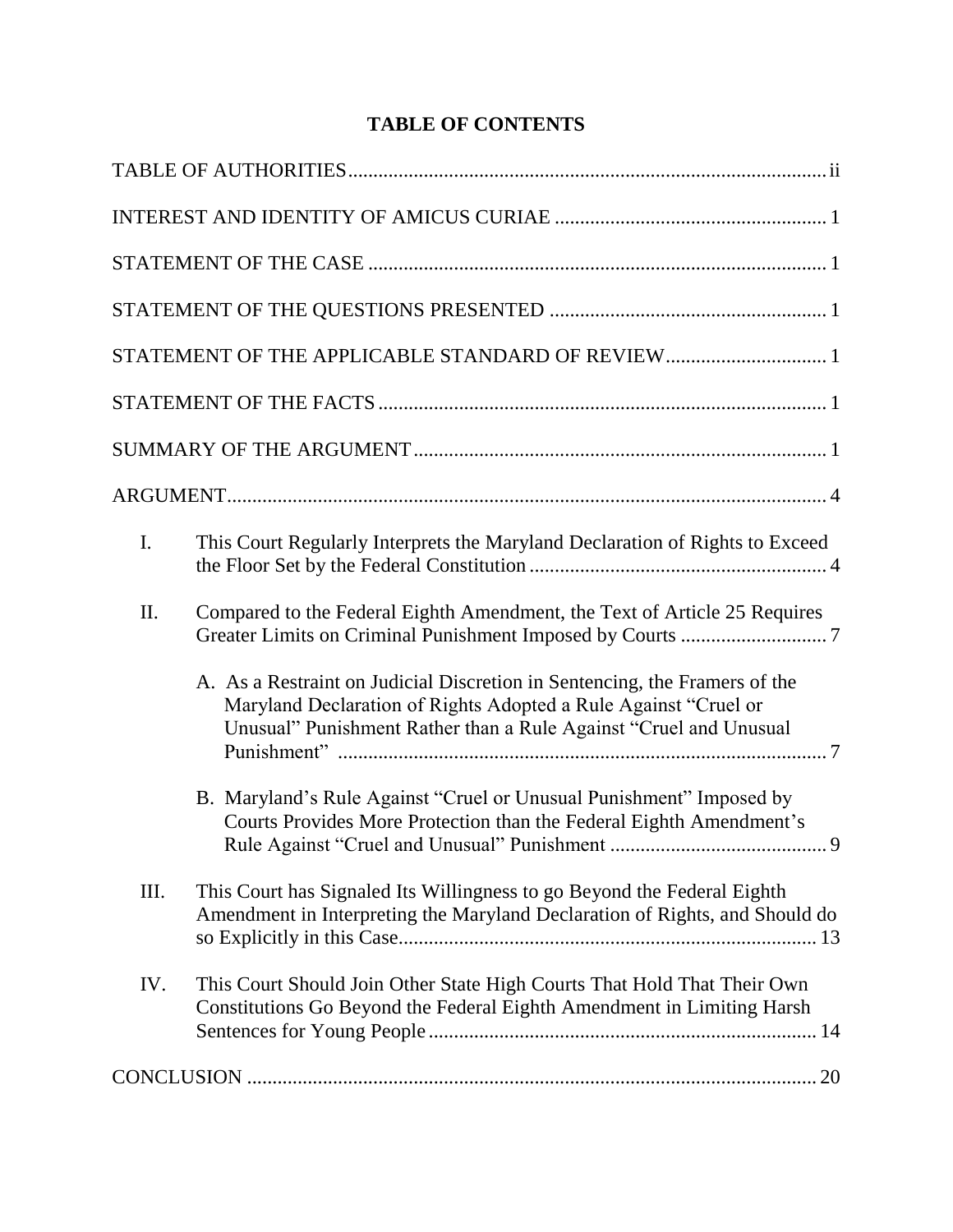# **TABLE OF CONTENTS**

|      | STATEMENT OF THE APPLICABLE STANDARD OF REVIEW 1                                                                                                                                                                   |
|------|--------------------------------------------------------------------------------------------------------------------------------------------------------------------------------------------------------------------|
|      |                                                                                                                                                                                                                    |
|      |                                                                                                                                                                                                                    |
|      |                                                                                                                                                                                                                    |
| I.   | This Court Regularly Interprets the Maryland Declaration of Rights to Exceed                                                                                                                                       |
| II.  | Compared to the Federal Eighth Amendment, the Text of Article 25 Requires                                                                                                                                          |
|      | A. As a Restraint on Judicial Discretion in Sentencing, the Framers of the<br>Maryland Declaration of Rights Adopted a Rule Against "Cruel or<br>Unusual" Punishment Rather than a Rule Against "Cruel and Unusual |
|      | B. Maryland's Rule Against "Cruel or Unusual Punishment" Imposed by<br>Courts Provides More Protection than the Federal Eighth Amendment's                                                                         |
| III. | This Court has Signaled Its Willingness to go Beyond the Federal Eighth<br>Amendment in Interpreting the Maryland Declaration of Rights, and Should do                                                             |
| IV.  | This Court Should Join Other State High Courts That Hold That Their Own<br>Constitutions Go Beyond the Federal Eighth Amendment in Limiting Harsh                                                                  |
|      |                                                                                                                                                                                                                    |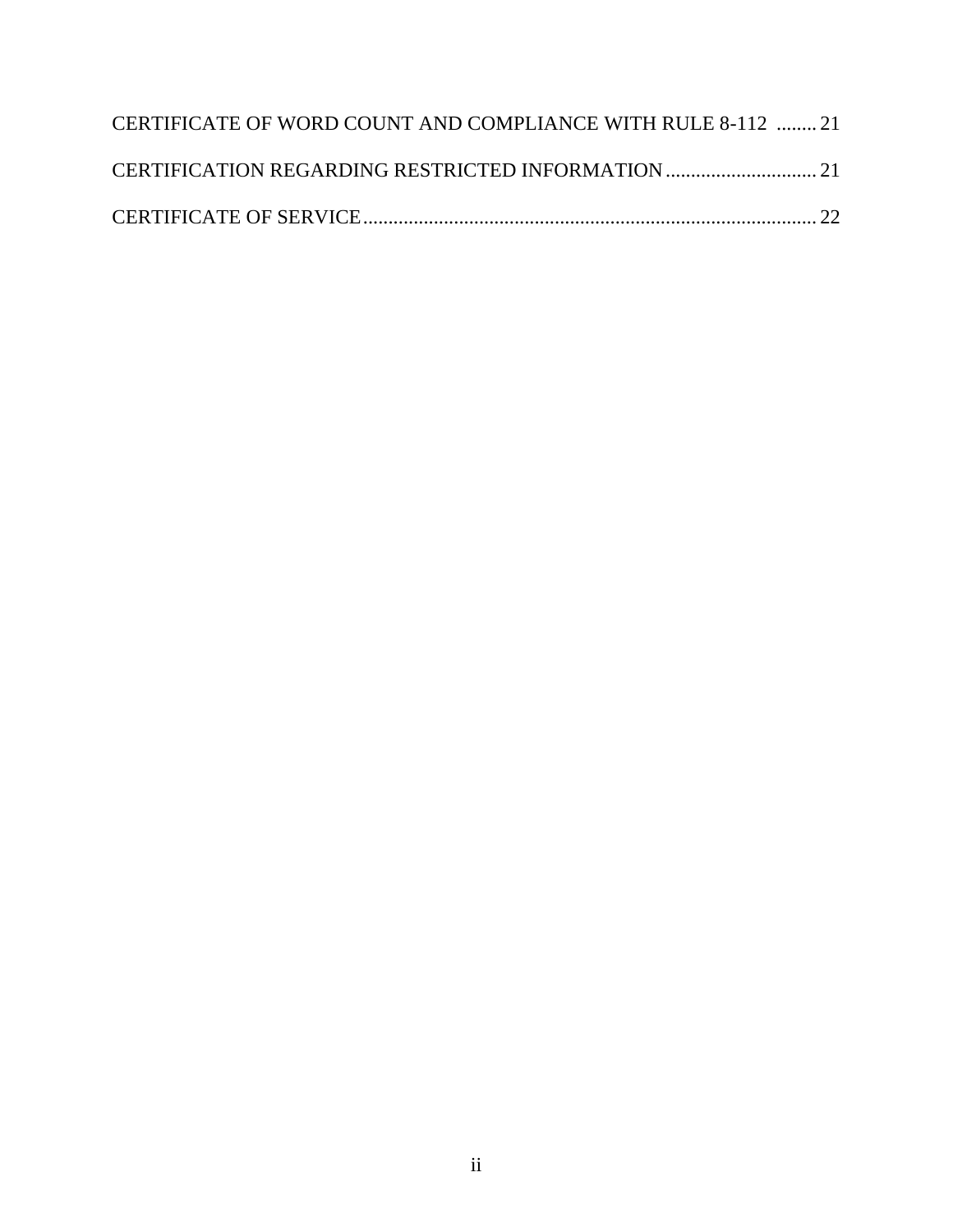| CERTIFICATE OF WORD COUNT AND COMPLIANCE WITH RULE 8-112  21 |  |
|--------------------------------------------------------------|--|
|                                                              |  |
|                                                              |  |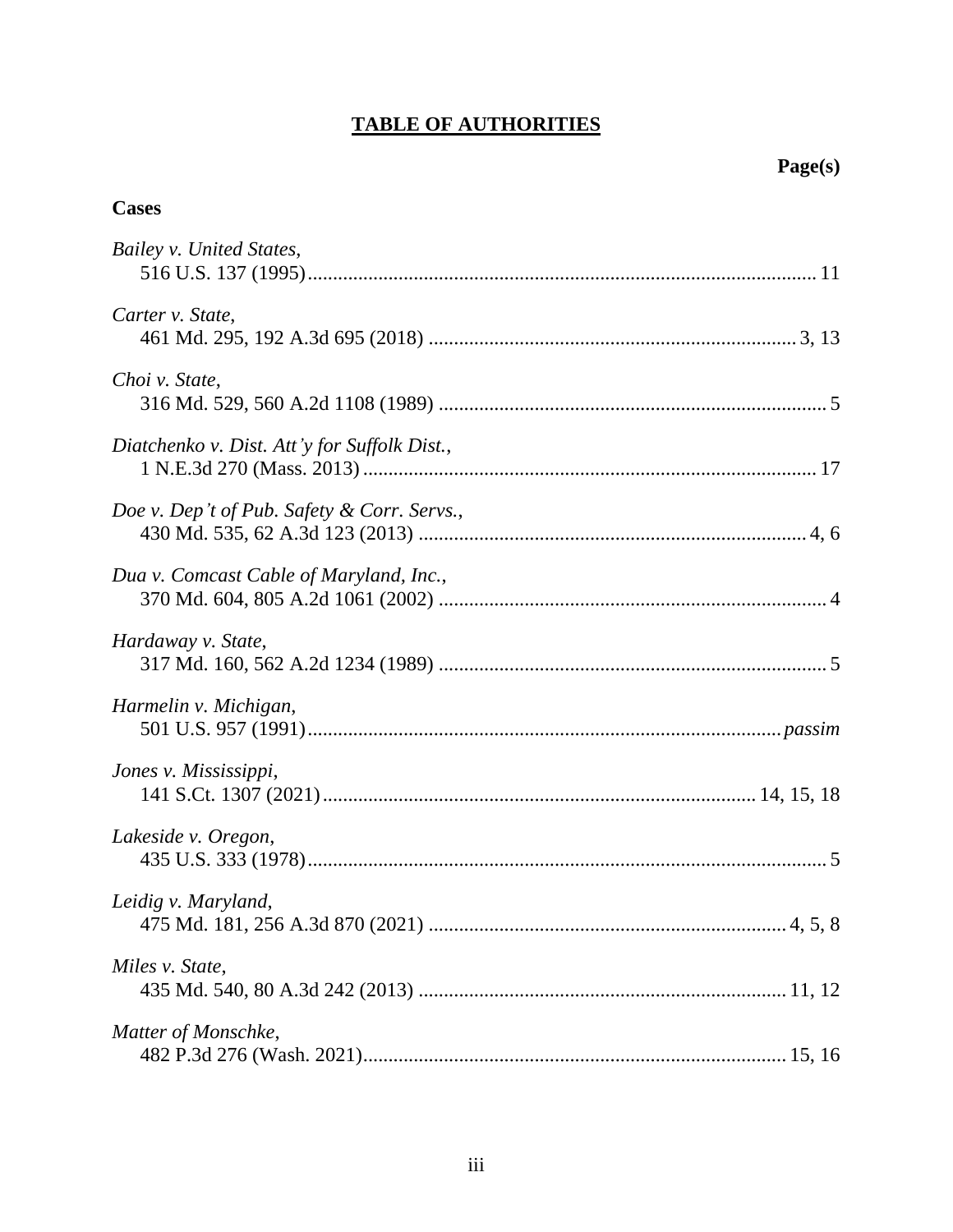# **TABLE OF AUTHORITIES**

# **Cases**

| Bailey v. United States,                     |
|----------------------------------------------|
| Carter v. State,                             |
| Choi v. State,                               |
| Diatchenko v. Dist. Att'y for Suffolk Dist., |
| Doe v. Dep't of Pub. Safety & Corr. Servs.,  |
| Dua v. Comcast Cable of Maryland, Inc.,      |
| Hardaway v. State,                           |
| Harmelin v. Michigan,                        |
| Jones v. Mississippi,                        |
| Lakeside v. Oregon,                          |
| Leidig v. Maryland,                          |
| Miles v. State,                              |
| Matter of Monschke,                          |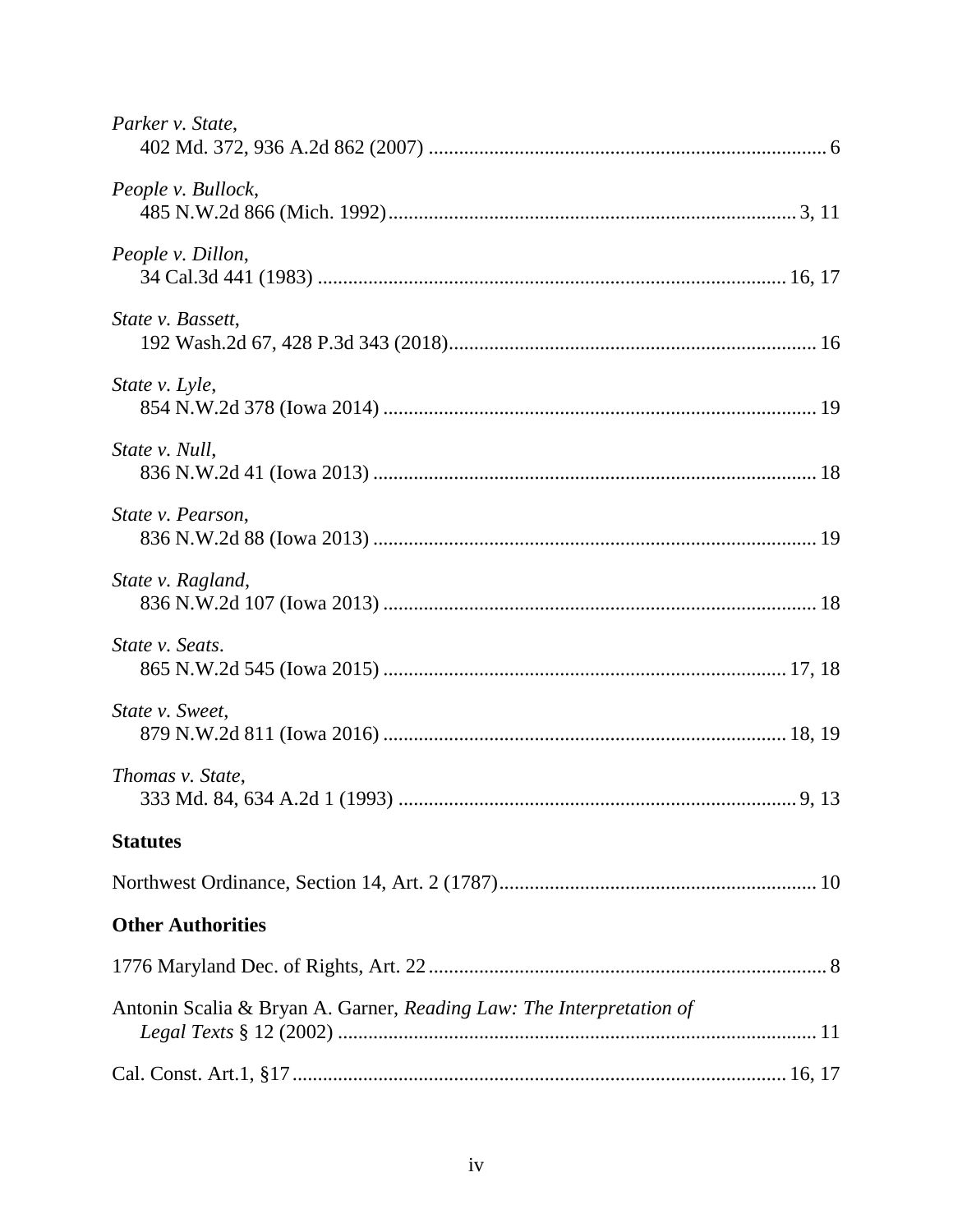| Parker v. State,                                                     |
|----------------------------------------------------------------------|
| People v. Bullock,                                                   |
| People v. Dillon,                                                    |
| State v. Bassett,                                                    |
| State v. Lyle,                                                       |
| State v. Null,                                                       |
| State v. Pearson,                                                    |
| State v. Ragland,                                                    |
| State v. Seats.                                                      |
| State v. Sweet,                                                      |
| Thomas v. State,                                                     |
| <b>Statutes</b>                                                      |
|                                                                      |
| <b>Other Authorities</b>                                             |
|                                                                      |
| Antonin Scalia & Bryan A. Garner, Reading Law: The Interpretation of |
|                                                                      |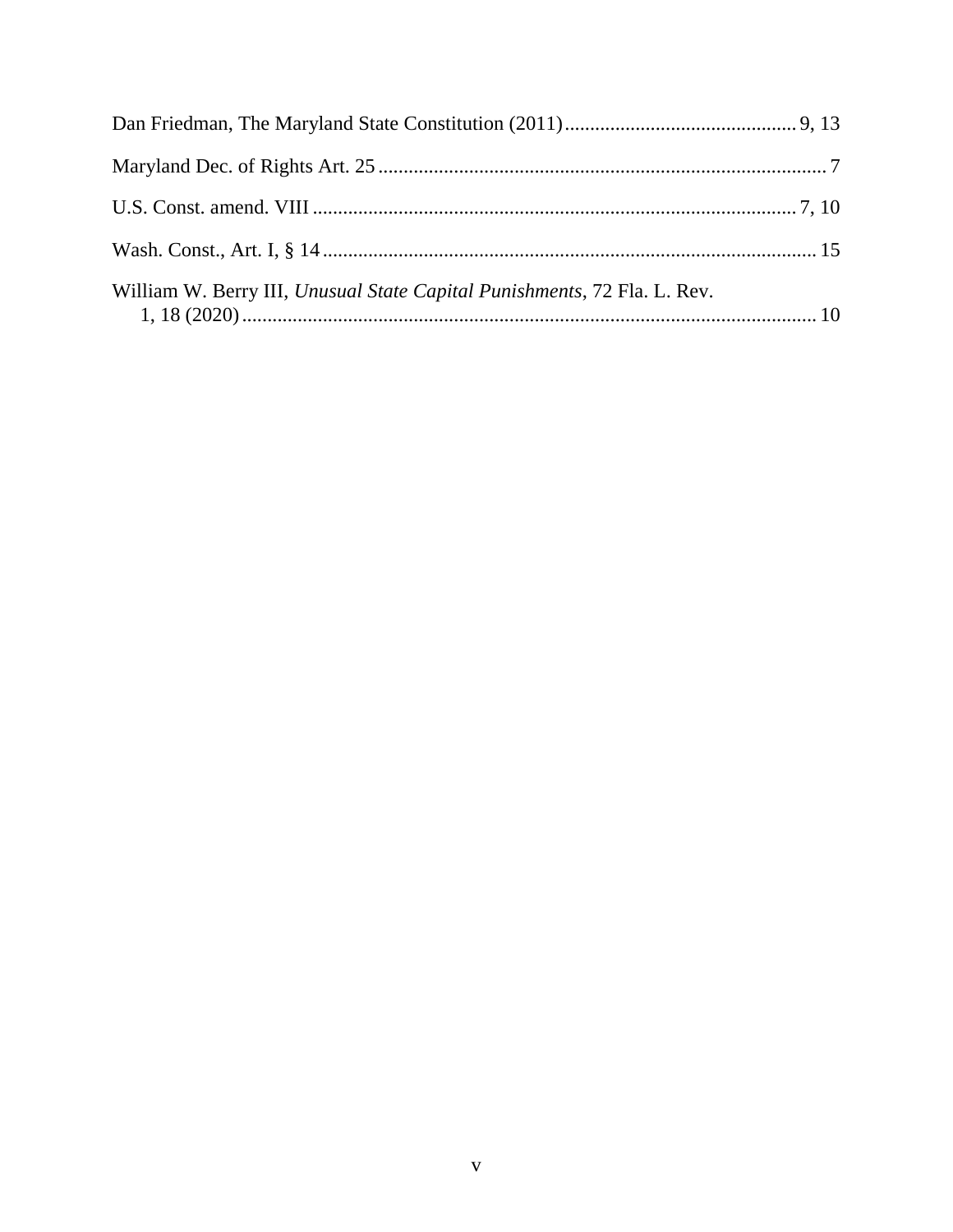| William W. Berry III, Unusual State Capital Punishments, 72 Fla. L. Rev. |  |
|--------------------------------------------------------------------------|--|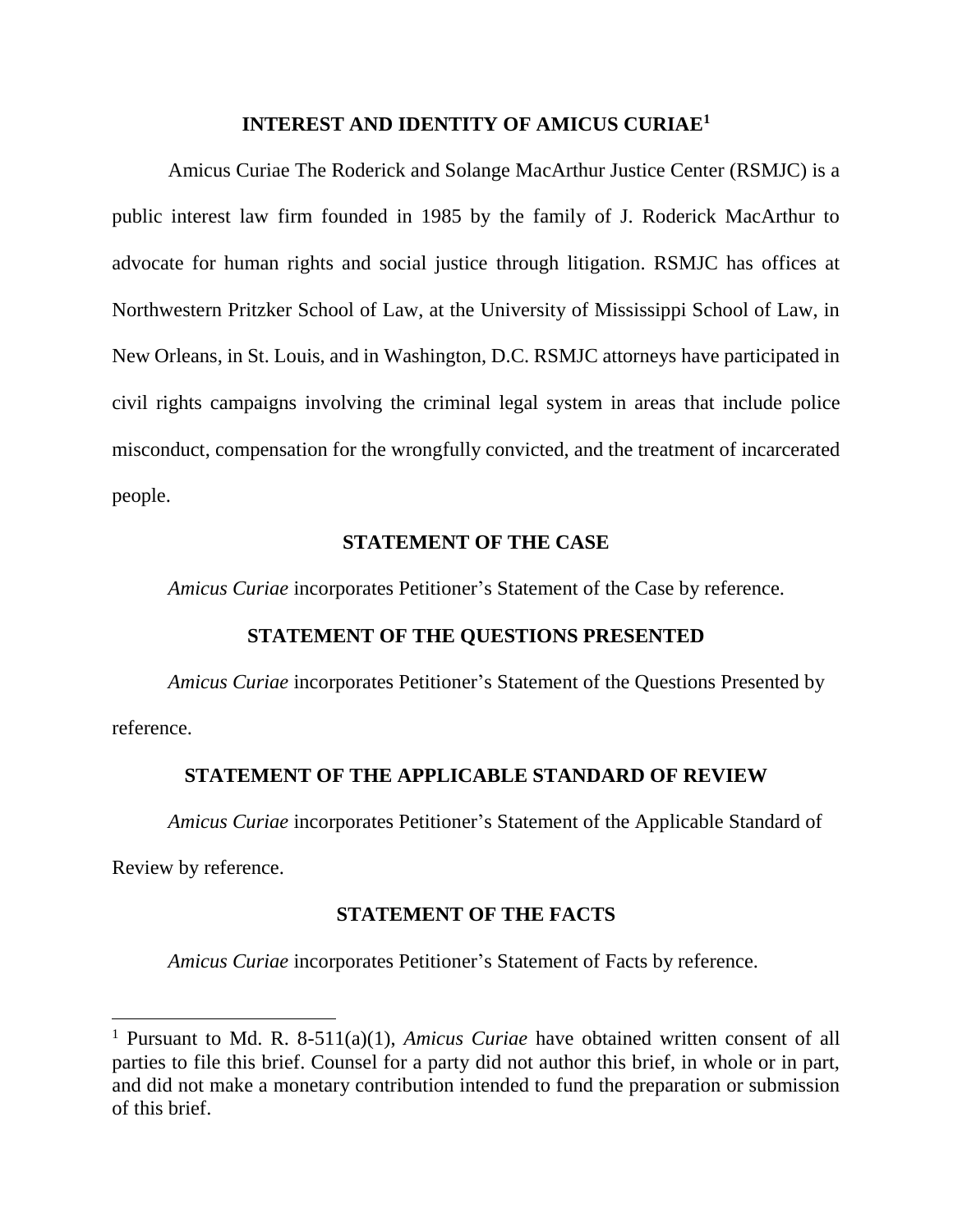#### **INTEREST AND IDENTITY OF AMICUS CURIAE<sup>1</sup>**

Amicus Curiae The Roderick and Solange MacArthur Justice Center (RSMJC) is a public interest law firm founded in 1985 by the family of J. Roderick MacArthur to advocate for human rights and social justice through litigation. RSMJC has offices at Northwestern Pritzker School of Law, at the University of Mississippi School of Law, in New Orleans, in St. Louis, and in Washington, D.C. RSMJC attorneys have participated in civil rights campaigns involving the criminal legal system in areas that include police misconduct, compensation for the wrongfully convicted, and the treatment of incarcerated people.

## **STATEMENT OF THE CASE**

*Amicus Curiae* incorporates Petitioner's Statement of the Case by reference.

### **STATEMENT OF THE QUESTIONS PRESENTED**

*Amicus Curiae* incorporates Petitioner's Statement of the Questions Presented by reference.

### **STATEMENT OF THE APPLICABLE STANDARD OF REVIEW**

*Amicus Curiae* incorporates Petitioner's Statement of the Applicable Standard of

Review by reference.

l

### **STATEMENT OF THE FACTS**

*Amicus Curiae* incorporates Petitioner's Statement of Facts by reference.

<sup>1</sup> Pursuant to Md. R. 8-511(a)(1), *Amicus Curiae* have obtained written consent of all parties to file this brief. Counsel for a party did not author this brief, in whole or in part, and did not make a monetary contribution intended to fund the preparation or submission of this brief.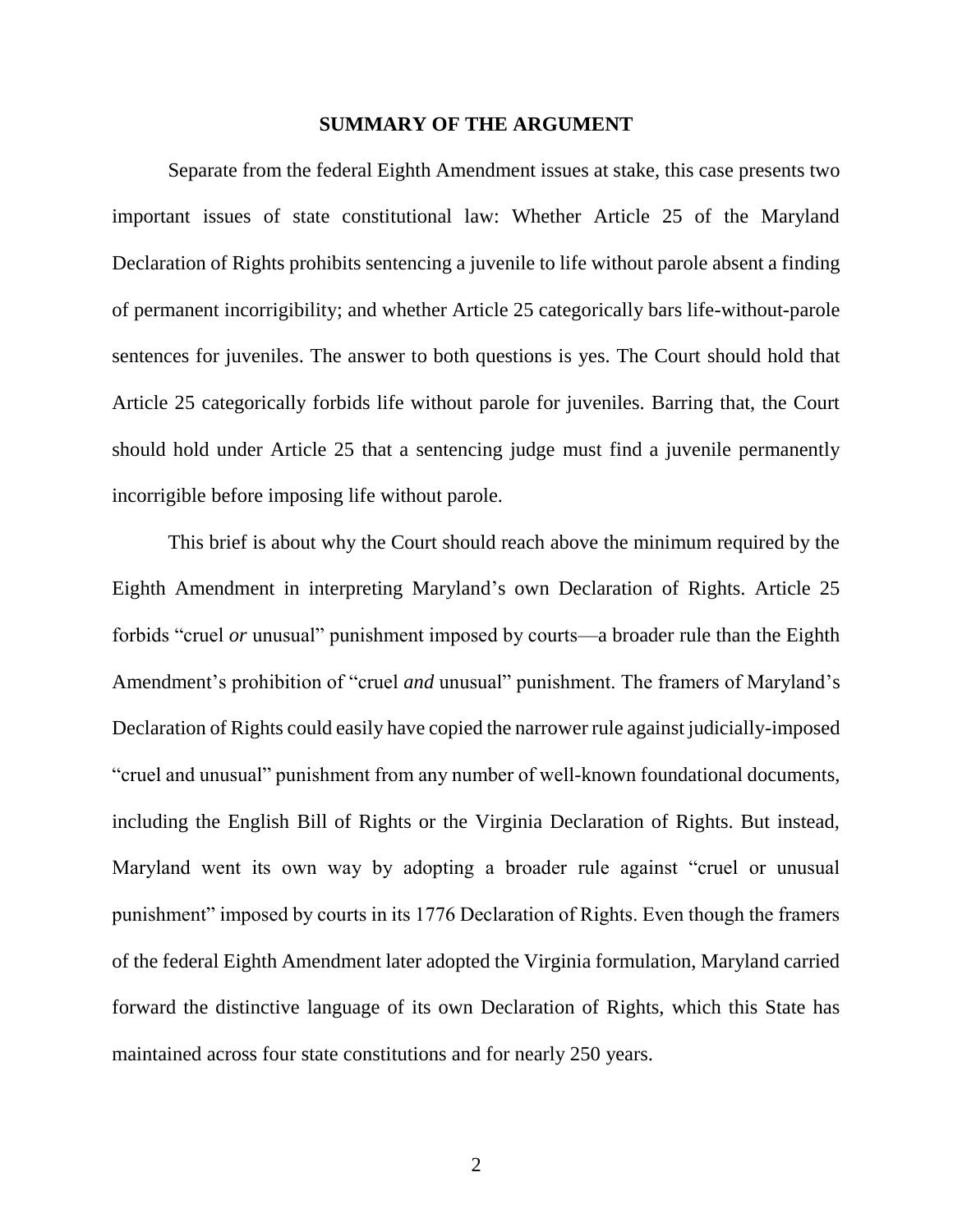#### **SUMMARY OF THE ARGUMENT**

Separate from the federal Eighth Amendment issues at stake, this case presents two important issues of state constitutional law: Whether Article 25 of the Maryland Declaration of Rights prohibits sentencing a juvenile to life without parole absent a finding of permanent incorrigibility; and whether Article 25 categorically bars life-without-parole sentences for juveniles. The answer to both questions is yes. The Court should hold that Article 25 categorically forbids life without parole for juveniles. Barring that, the Court should hold under Article 25 that a sentencing judge must find a juvenile permanently incorrigible before imposing life without parole.

This brief is about why the Court should reach above the minimum required by the Eighth Amendment in interpreting Maryland's own Declaration of Rights. Article 25 forbids "cruel *or* unusual" punishment imposed by courts—a broader rule than the Eighth Amendment's prohibition of "cruel *and* unusual" punishment. The framers of Maryland's Declaration of Rights could easily have copied the narrower rule against judicially-imposed "cruel and unusual" punishment from any number of well-known foundational documents, including the English Bill of Rights or the Virginia Declaration of Rights. But instead, Maryland went its own way by adopting a broader rule against "cruel or unusual punishment" imposed by courts in its 1776 Declaration of Rights. Even though the framers of the federal Eighth Amendment later adopted the Virginia formulation, Maryland carried forward the distinctive language of its own Declaration of Rights, which this State has maintained across four state constitutions and for nearly 250 years.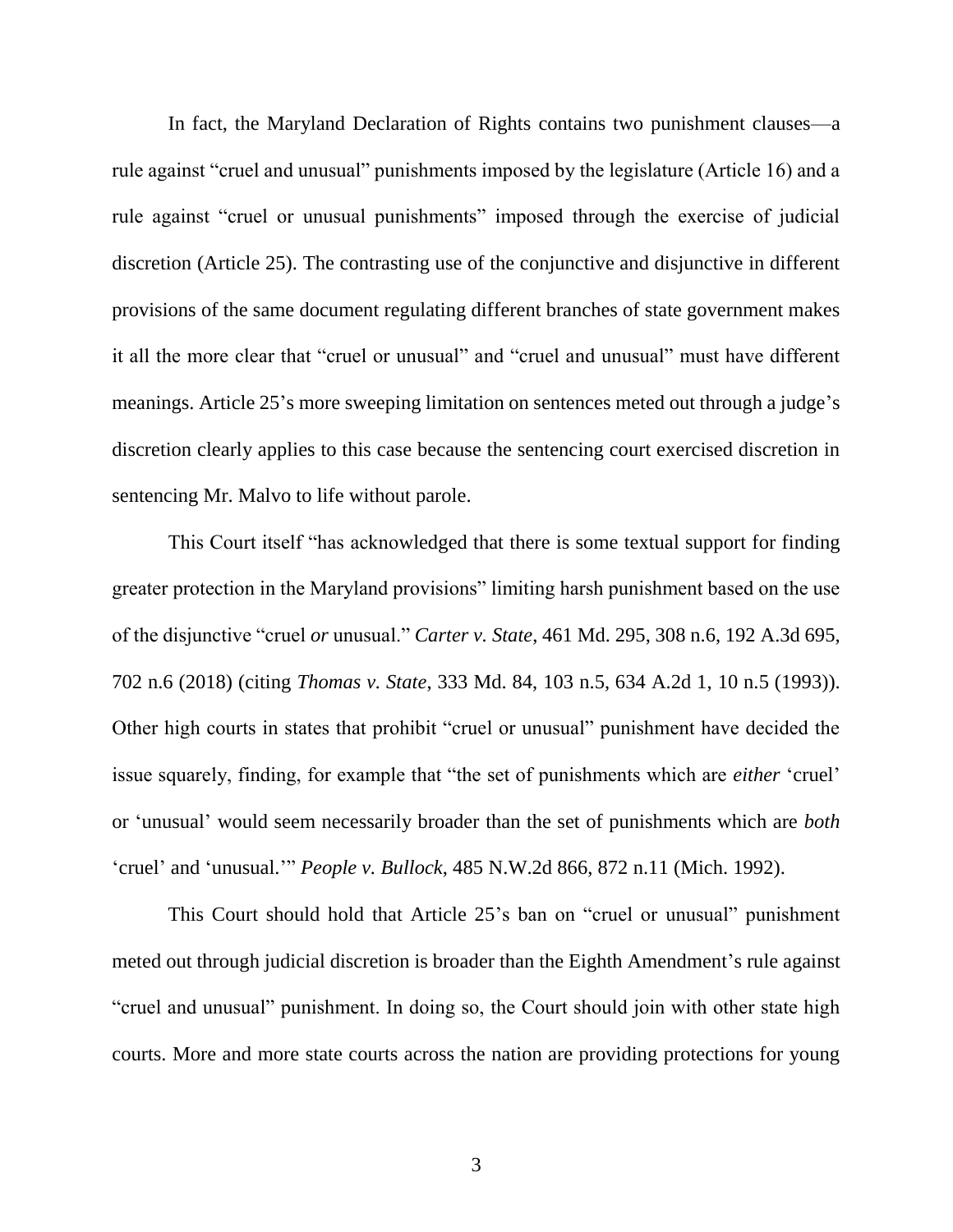In fact, the Maryland Declaration of Rights contains two punishment clauses—a rule against "cruel and unusual" punishments imposed by the legislature (Article 16) and a rule against "cruel or unusual punishments" imposed through the exercise of judicial discretion (Article 25). The contrasting use of the conjunctive and disjunctive in different provisions of the same document regulating different branches of state government makes it all the more clear that "cruel or unusual" and "cruel and unusual" must have different meanings. Article 25's more sweeping limitation on sentences meted out through a judge's discretion clearly applies to this case because the sentencing court exercised discretion in sentencing Mr. Malvo to life without parole.

<span id="page-8-0"></span>This Court itself "has acknowledged that there is some textual support for finding greater protection in the Maryland provisions" limiting harsh punishment based on the use of the disjunctive "cruel *or* unusual." *Carter v. State*, 461 Md. 295, 308 n.6, 192 A.3d 695, 702 n.6 (2018) (citing *Thomas v. State*, 333 Md. 84, 103 n.5, 634 A.2d 1, 10 n.5 (1993)). Other high courts in states that prohibit "cruel or unusual" punishment have decided the issue squarely, finding, for example that "the set of punishments which are *either* 'cruel' or 'unusual' would seem necessarily broader than the set of punishments which are *both*  'cruel' and 'unusual.'" *People v. Bullock*, 485 N.W.2d 866, 872 n.11 (Mich. 1992).

<span id="page-8-1"></span>This Court should hold that Article 25's ban on "cruel or unusual" punishment meted out through judicial discretion is broader than the Eighth Amendment's rule against "cruel and unusual" punishment. In doing so, the Court should join with other state high courts. More and more state courts across the nation are providing protections for young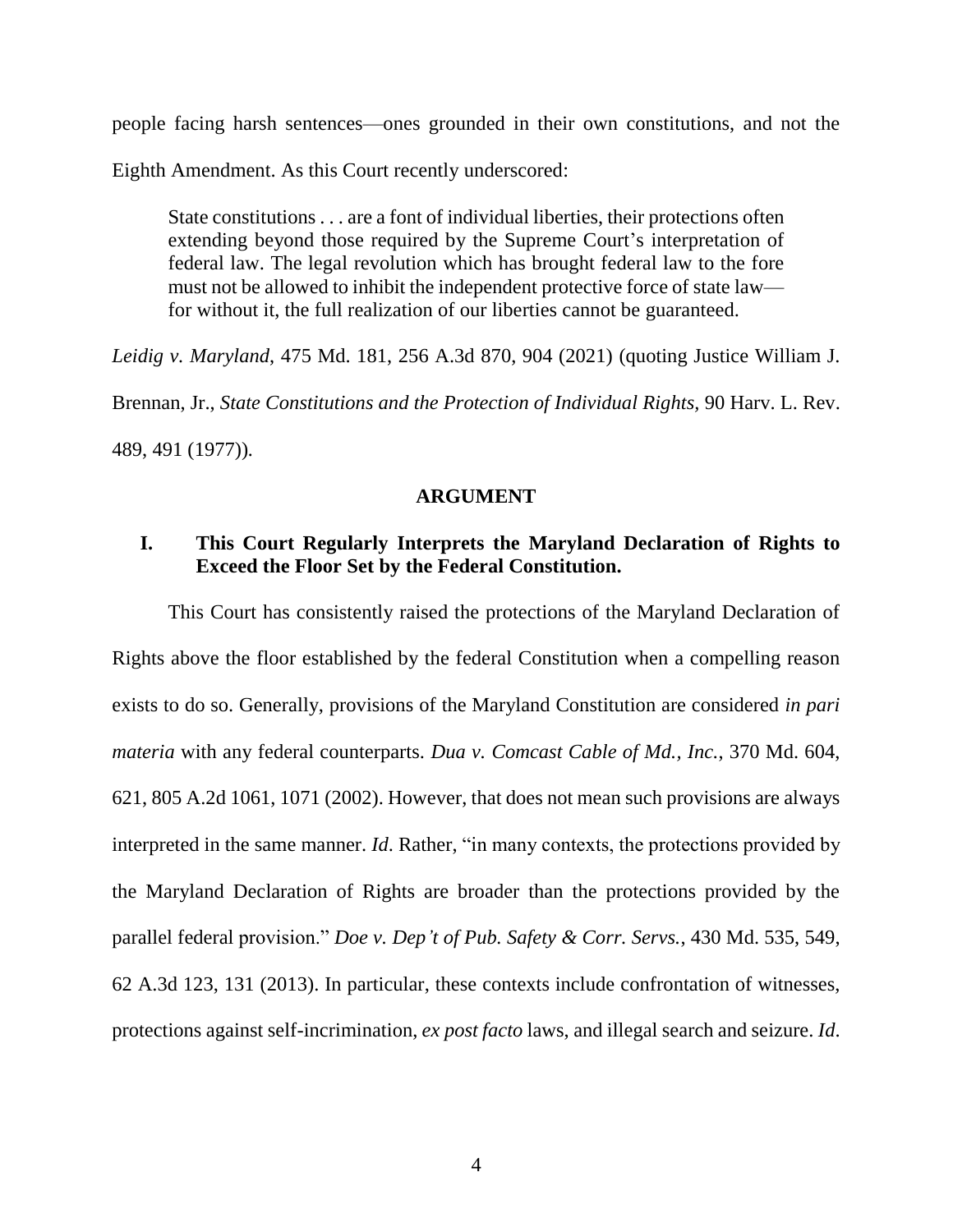people facing harsh sentences—ones grounded in their own constitutions, and not the

Eighth Amendment. As this Court recently underscored:

State constitutions . . . are a font of individual liberties, their protections often extending beyond those required by the Supreme Court's interpretation of federal law. The legal revolution which has brought federal law to the fore must not be allowed to inhibit the independent protective force of state law for without it, the full realization of our liberties cannot be guaranteed.

<span id="page-9-2"></span>*Leidig v. Maryland*, 475 Md. 181, 256 A.3d 870, 904 (2021) (quoting Justice William J.

Brennan, Jr., *State Constitutions and the Protection of Individual Rights,* 90 Harv. L. Rev.

489, 491 (1977))*.*

#### <span id="page-9-1"></span>**ARGUMENT**

### **I. This Court Regularly Interprets the Maryland Declaration of Rights to Exceed the Floor Set by the Federal Constitution.**

<span id="page-9-0"></span>This Court has consistently raised the protections of the Maryland Declaration of Rights above the floor established by the federal Constitution when a compelling reason exists to do so. Generally, provisions of the Maryland Constitution are considered *in pari materia* with any federal counterparts. *Dua v. Comcast Cable of Md., Inc.*, 370 Md. 604, 621, 805 A.2d 1061, 1071 (2002). However, that does not mean such provisions are always interpreted in the same manner. *Id*. Rather, "in many contexts, the protections provided by the Maryland Declaration of Rights are broader than the protections provided by the parallel federal provision." *Doe v. Dep't of Pub. Safety & Corr. Servs.*, 430 Md. 535, 549, 62 A.3d 123, 131 (2013). In particular, these contexts include confrontation of witnesses, protections against self-incrimination, *ex post facto* laws, and illegal search and seizure. *Id*.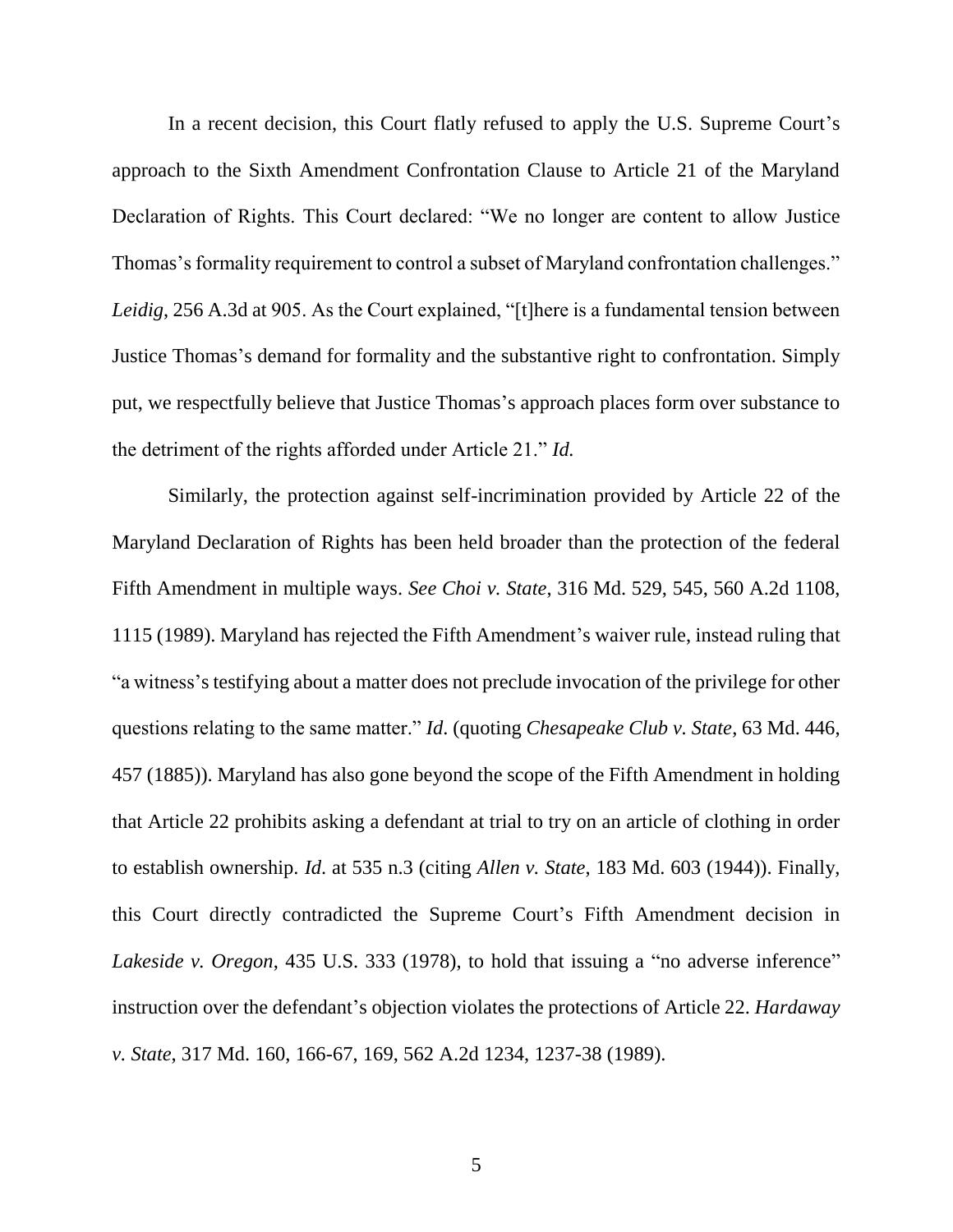<span id="page-10-3"></span>In a recent decision, this Court flatly refused to apply the U.S. Supreme Court's approach to the Sixth Amendment Confrontation Clause to Article 21 of the Maryland Declaration of Rights. This Court declared: "We no longer are content to allow Justice Thomas's formality requirement to control a subset of Maryland confrontation challenges." *Leidig*, 256 A.3d at 905. As the Court explained, "[t]here is a fundamental tension between Justice Thomas's demand for formality and the substantive right to confrontation. Simply put, we respectfully believe that Justice Thomas's approach places form over substance to the detriment of the rights afforded under Article 21." *Id.*

<span id="page-10-2"></span><span id="page-10-1"></span><span id="page-10-0"></span>Similarly, the protection against self-incrimination provided by Article 22 of the Maryland Declaration of Rights has been held broader than the protection of the federal Fifth Amendment in multiple ways. *See Choi v. State*, 316 Md. 529, 545, 560 A.2d 1108, 1115 (1989). Maryland has rejected the Fifth Amendment's waiver rule, instead ruling that "a witness's testifying about a matter does not preclude invocation of the privilege for other questions relating to the same matter." *Id*. (quoting *Chesapeake Club v. State*, 63 Md. 446, 457 (1885)). Maryland has also gone beyond the scope of the Fifth Amendment in holding that Article 22 prohibits asking a defendant at trial to try on an article of clothing in order to establish ownership. *Id*. at 535 n.3 (citing *Allen v. State*, 183 Md. 603 (1944)). Finally, this Court directly contradicted the Supreme Court's Fifth Amendment decision in *Lakeside v. Oregon*, 435 U.S. 333 (1978), to hold that issuing a "no adverse inference" instruction over the defendant's objection violates the protections of Article 22. *Hardaway v. State*, 317 Md. 160, 166-67, 169, 562 A.2d 1234, 1237-38 (1989).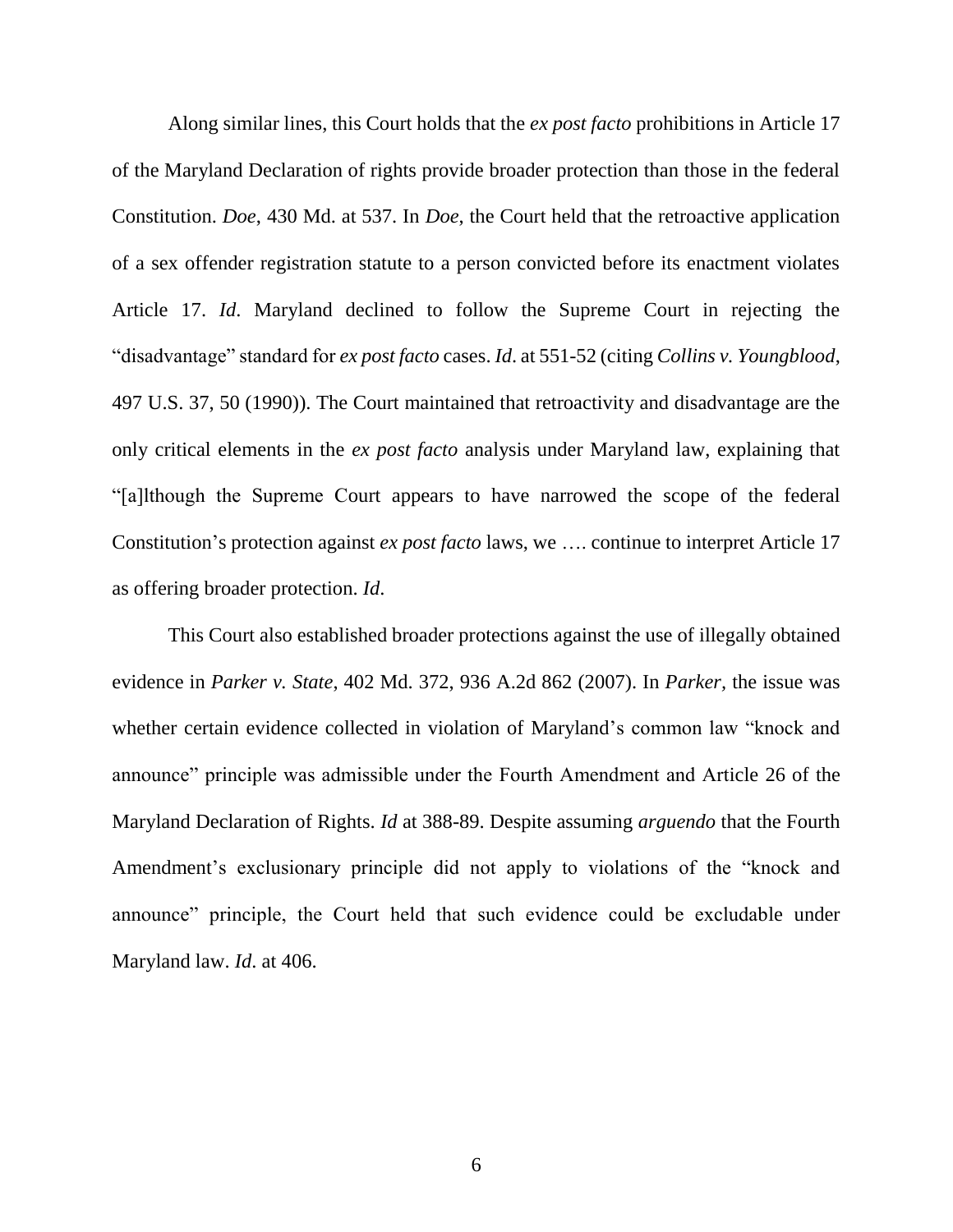<span id="page-11-0"></span>Along similar lines, this Court holds that the *ex post facto* prohibitions in Article 17 of the Maryland Declaration of rights provide broader protection than those in the federal Constitution. *Doe*, 430 Md. at 537. In *Doe*, the Court held that the retroactive application of a sex offender registration statute to a person convicted before its enactment violates Article 17. *Id*. Maryland declined to follow the Supreme Court in rejecting the "disadvantage" standard for *ex post facto* cases. *Id*. at 551-52 (citing *Collins v. Youngblood*, 497 U.S. 37, 50 (1990)). The Court maintained that retroactivity and disadvantage are the only critical elements in the *ex post facto* analysis under Maryland law, explaining that "[a]lthough the Supreme Court appears to have narrowed the scope of the federal Constitution's protection against *ex post facto* laws, we …. continue to interpret Article 17 as offering broader protection. *Id*.

<span id="page-11-1"></span>This Court also established broader protections against the use of illegally obtained evidence in *Parker v. State*, 402 Md. 372, 936 A.2d 862 (2007). In *Parker,* the issue was whether certain evidence collected in violation of Maryland's common law "knock and announce" principle was admissible under the Fourth Amendment and Article 26 of the Maryland Declaration of Rights. *Id* at 388-89. Despite assuming *arguendo* that the Fourth Amendment's exclusionary principle did not apply to violations of the "knock and announce" principle, the Court held that such evidence could be excludable under Maryland law. *Id*. at 406.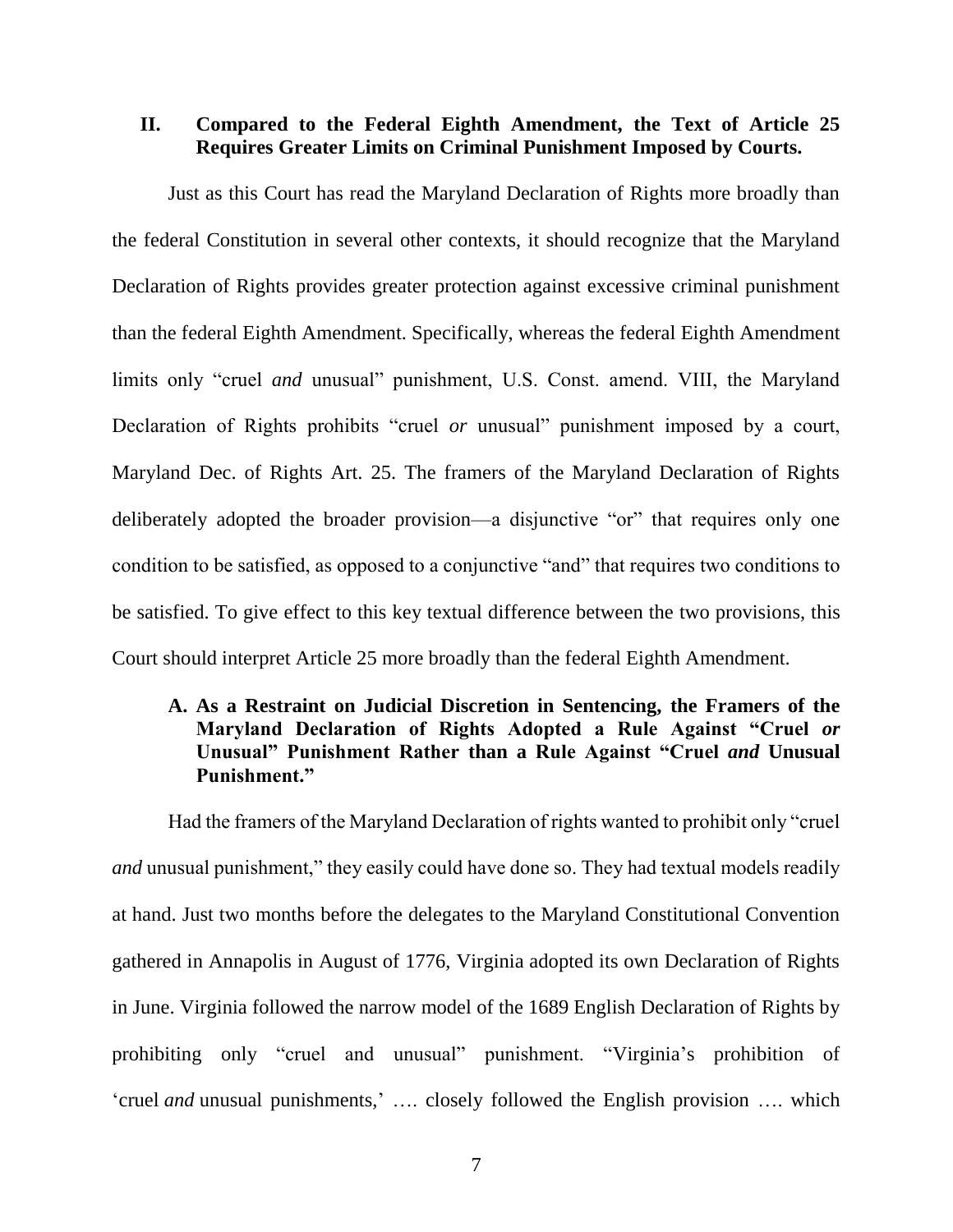### **II. Compared to the Federal Eighth Amendment, the Text of Article 25 Requires Greater Limits on Criminal Punishment Imposed by Courts.**

<span id="page-12-1"></span>Just as this Court has read the Maryland Declaration of Rights more broadly than the federal Constitution in several other contexts, it should recognize that the Maryland Declaration of Rights provides greater protection against excessive criminal punishment than the federal Eighth Amendment. Specifically, whereas the federal Eighth Amendment limits only "cruel *and* unusual" punishment, U.S. Const. amend. VIII, the Maryland Declaration of Rights prohibits "cruel *or* unusual" punishment imposed by a court, Maryland Dec. of Rights Art. 25. The framers of the Maryland Declaration of Rights deliberately adopted the broader provision—a disjunctive "or" that requires only one condition to be satisfied, as opposed to a conjunctive "and" that requires two conditions to be satisfied. To give effect to this key textual difference between the two provisions, this Court should interpret Article 25 more broadly than the federal Eighth Amendment.

### <span id="page-12-0"></span>**A. As a Restraint on Judicial Discretion in Sentencing, the Framers of the Maryland Declaration of Rights Adopted a Rule Against "Cruel** *or*  **Unusual" Punishment Rather than a Rule Against "Cruel** *and* **Unusual Punishment."**

Had the framers of the Maryland Declaration of rights wanted to prohibit only "cruel *and* unusual punishment," they easily could have done so. They had textual models readily at hand. Just two months before the delegates to the Maryland Constitutional Convention gathered in Annapolis in August of 1776, Virginia adopted its own Declaration of Rights in June. Virginia followed the narrow model of the 1689 English Declaration of Rights by prohibiting only "cruel and unusual" punishment. "Virginia's prohibition of 'cruel *and* unusual punishments,' …. closely followed the English provision …. which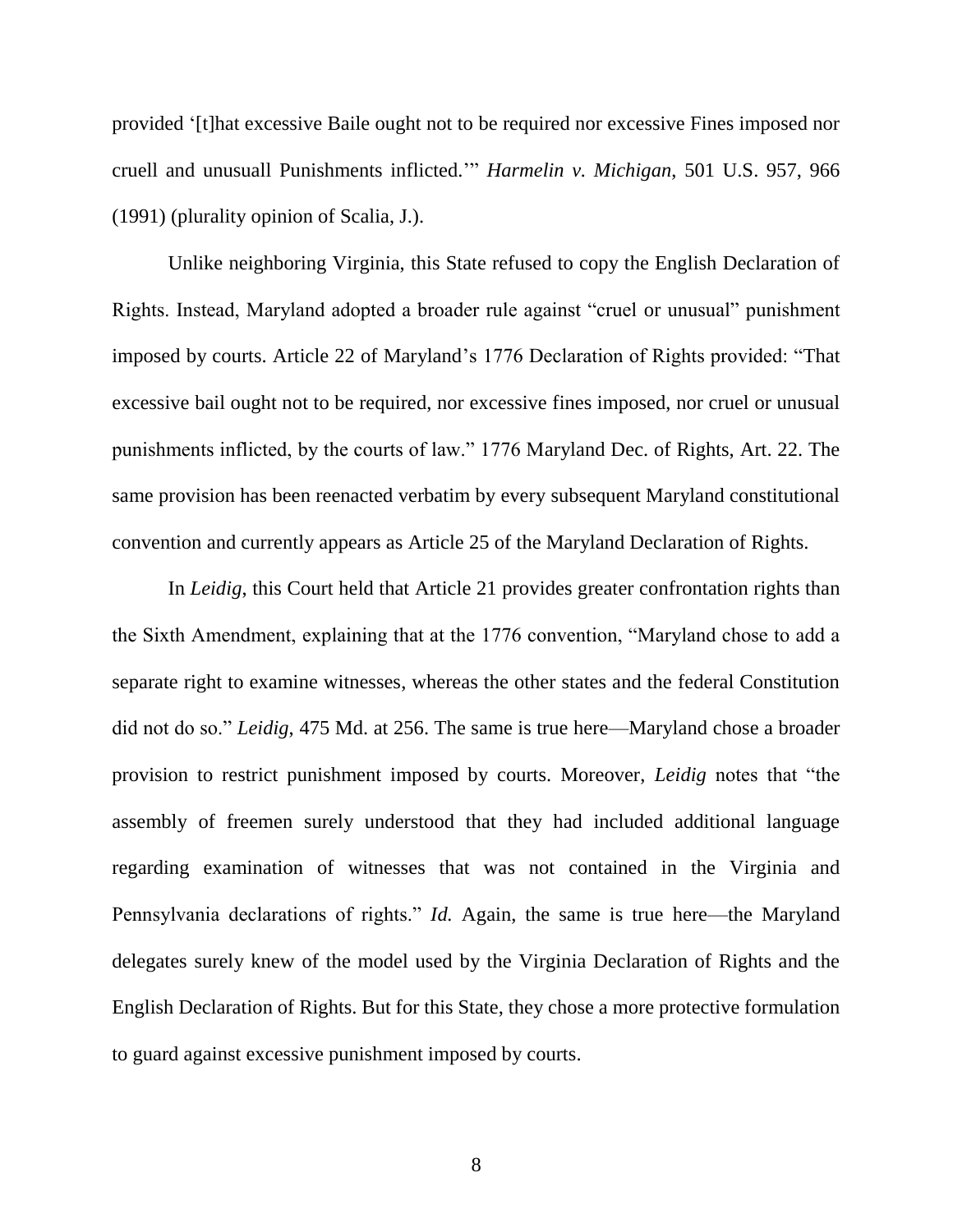<span id="page-13-0"></span>provided '[t]hat excessive Baile ought not to be required nor excessive Fines imposed nor cruell and unusuall Punishments inflicted.'" *Harmelin v. Michigan*, 501 U.S. 957, 966 (1991) (plurality opinion of Scalia, J.).

Unlike neighboring Virginia, this State refused to copy the English Declaration of Rights. Instead, Maryland adopted a broader rule against "cruel or unusual" punishment imposed by courts. Article 22 of Maryland's 1776 Declaration of Rights provided: "That excessive bail ought not to be required, nor excessive fines imposed, nor cruel or unusual punishments inflicted, by the courts of law." 1776 Maryland Dec. of Rights, Art. 22. The same provision has been reenacted verbatim by every subsequent Maryland constitutional convention and currently appears as Article 25 of the Maryland Declaration of Rights.

<span id="page-13-2"></span><span id="page-13-1"></span>In *Leidig*, this Court held that Article 21 provides greater confrontation rights than the Sixth Amendment, explaining that at the 1776 convention, "Maryland chose to add a separate right to examine witnesses, whereas the other states and the federal Constitution did not do so." *Leidig*, 475 Md. at 256. The same is true here—Maryland chose a broader provision to restrict punishment imposed by courts. Moreover, *Leidig* notes that "the assembly of freemen surely understood that they had included additional language regarding examination of witnesses that was not contained in the Virginia and Pennsylvania declarations of rights." *Id.* Again, the same is true here—the Maryland delegates surely knew of the model used by the Virginia Declaration of Rights and the English Declaration of Rights. But for this State, they chose a more protective formulation to guard against excessive punishment imposed by courts.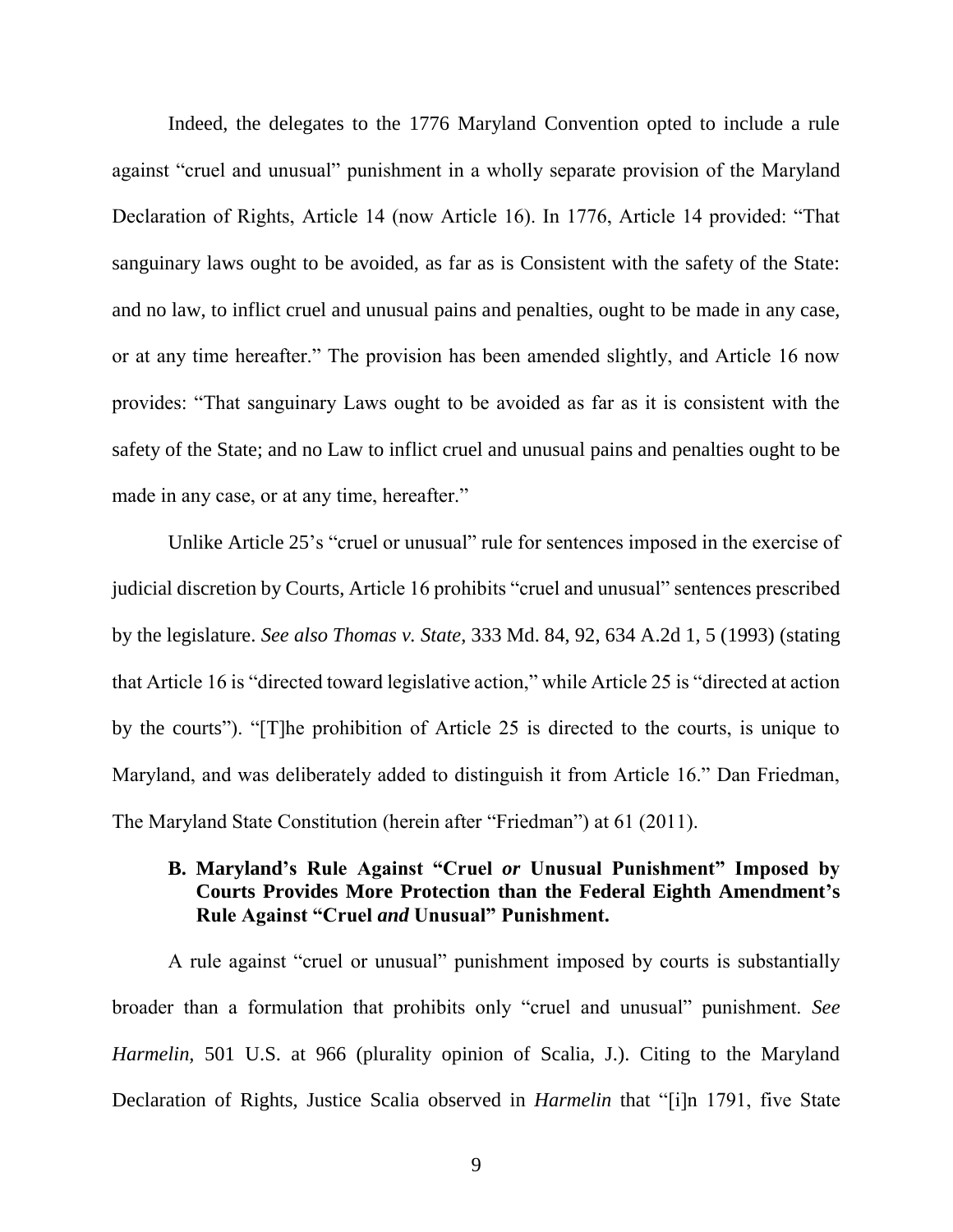Indeed, the delegates to the 1776 Maryland Convention opted to include a rule against "cruel and unusual" punishment in a wholly separate provision of the Maryland Declaration of Rights, Article 14 (now Article 16). In 1776, Article 14 provided: "That sanguinary laws ought to be avoided, as far as is Consistent with the safety of the State: and no law, to inflict cruel and unusual pains and penalties, ought to be made in any case, or at any time hereafter." The provision has been amended slightly, and Article 16 now provides: "That sanguinary Laws ought to be avoided as far as it is consistent with the safety of the State; and no Law to inflict cruel and unusual pains and penalties ought to be made in any case, or at any time, hereafter."

<span id="page-14-0"></span>Unlike Article 25's "cruel or unusual" rule for sentences imposed in the exercise of judicial discretion by Courts, Article 16 prohibits "cruel and unusual" sentences prescribed by the legislature. *See also Thomas v. State*, 333 Md. 84, 92, 634 A.2d 1, 5 (1993) (stating that Article 16 is "directed toward legislative action," while Article 25 is "directed at action by the courts"). "[T]he prohibition of Article 25 is directed to the courts, is unique to Maryland, and was deliberately added to distinguish it from Article 16." Dan Friedman, The Maryland State Constitution (herein after "Friedman") at 61 (2011).

### <span id="page-14-1"></span>**B. Maryland's Rule Against "Cruel** *or* **Unusual Punishment" Imposed by Courts Provides More Protection than the Federal Eighth Amendment's Rule Against "Cruel** *and* **Unusual" Punishment.**

A rule against "cruel or unusual" punishment imposed by courts is substantially broader than a formulation that prohibits only "cruel and unusual" punishment. *See Harmelin,* 501 U.S. at 966 (plurality opinion of Scalia, J.). Citing to the Maryland Declaration of Rights, Justice Scalia observed in *Harmelin* that "[i]n 1791, five State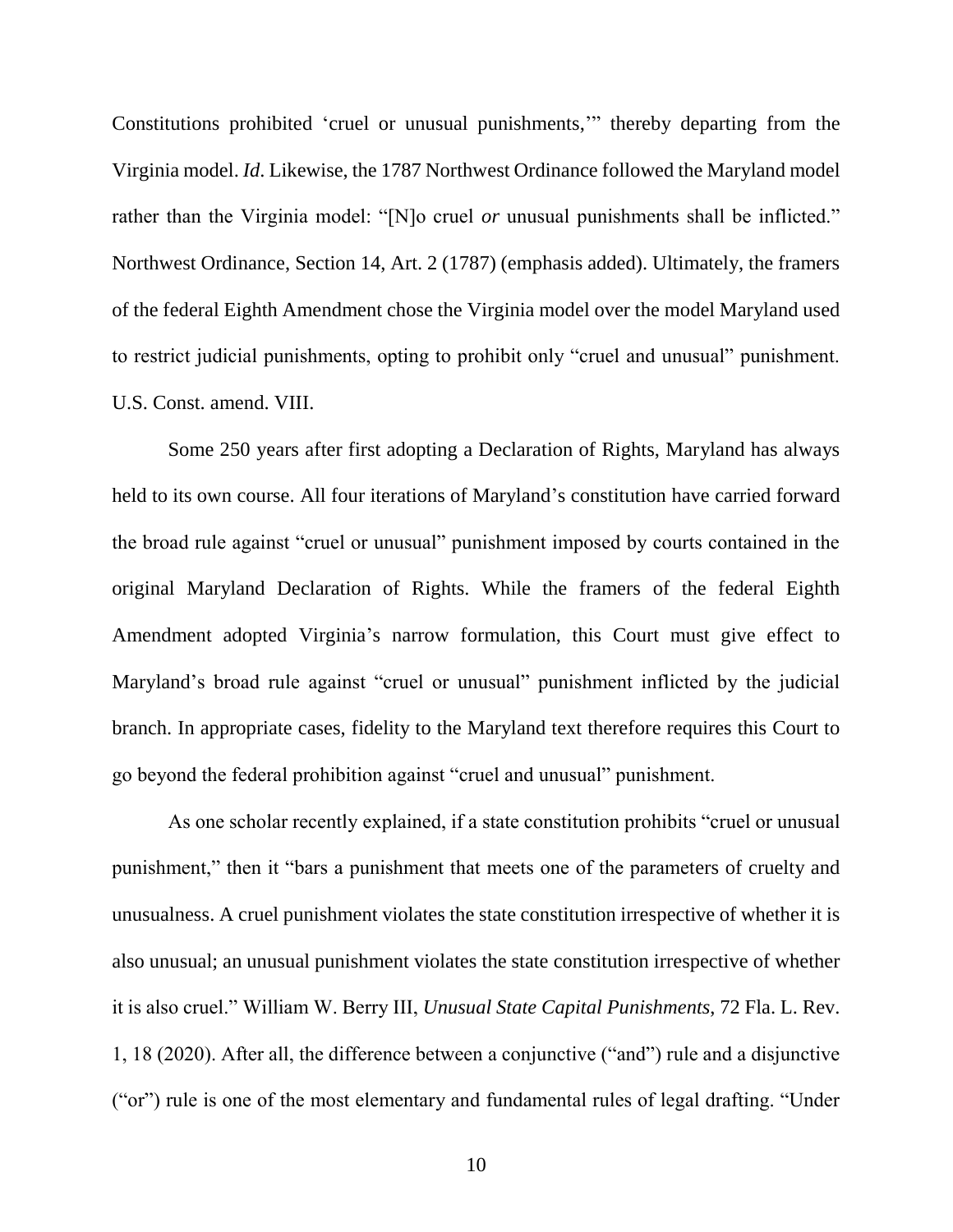<span id="page-15-0"></span>Constitutions prohibited 'cruel or unusual punishments,'" thereby departing from the Virginia model. *Id*. Likewise, the 1787 Northwest Ordinance followed the Maryland model rather than the Virginia model: "[N]o cruel *or* unusual punishments shall be inflicted." Northwest Ordinance, Section 14, Art. 2 (1787) (emphasis added). Ultimately, the framers of the federal Eighth Amendment chose the Virginia model over the model Maryland used to restrict judicial punishments, opting to prohibit only "cruel and unusual" punishment. U.S. Const. amend. VIII.

<span id="page-15-1"></span>Some 250 years after first adopting a Declaration of Rights, Maryland has always held to its own course. All four iterations of Maryland's constitution have carried forward the broad rule against "cruel or unusual" punishment imposed by courts contained in the original Maryland Declaration of Rights. While the framers of the federal Eighth Amendment adopted Virginia's narrow formulation, this Court must give effect to Maryland's broad rule against "cruel or unusual" punishment inflicted by the judicial branch. In appropriate cases, fidelity to the Maryland text therefore requires this Court to go beyond the federal prohibition against "cruel and unusual" punishment.

<span id="page-15-2"></span>As one scholar recently explained, if a state constitution prohibits "cruel or unusual punishment," then it "bars a punishment that meets one of the parameters of cruelty and unusualness. A cruel punishment violates the state constitution irrespective of whether it is also unusual; an unusual punishment violates the state constitution irrespective of whether it is also cruel." William W. Berry III, *Unusual State Capital Punishments*, 72 Fla. L. Rev. 1, 18 (2020). After all, the difference between a conjunctive ("and") rule and a disjunctive ("or") rule is one of the most elementary and fundamental rules of legal drafting. "Under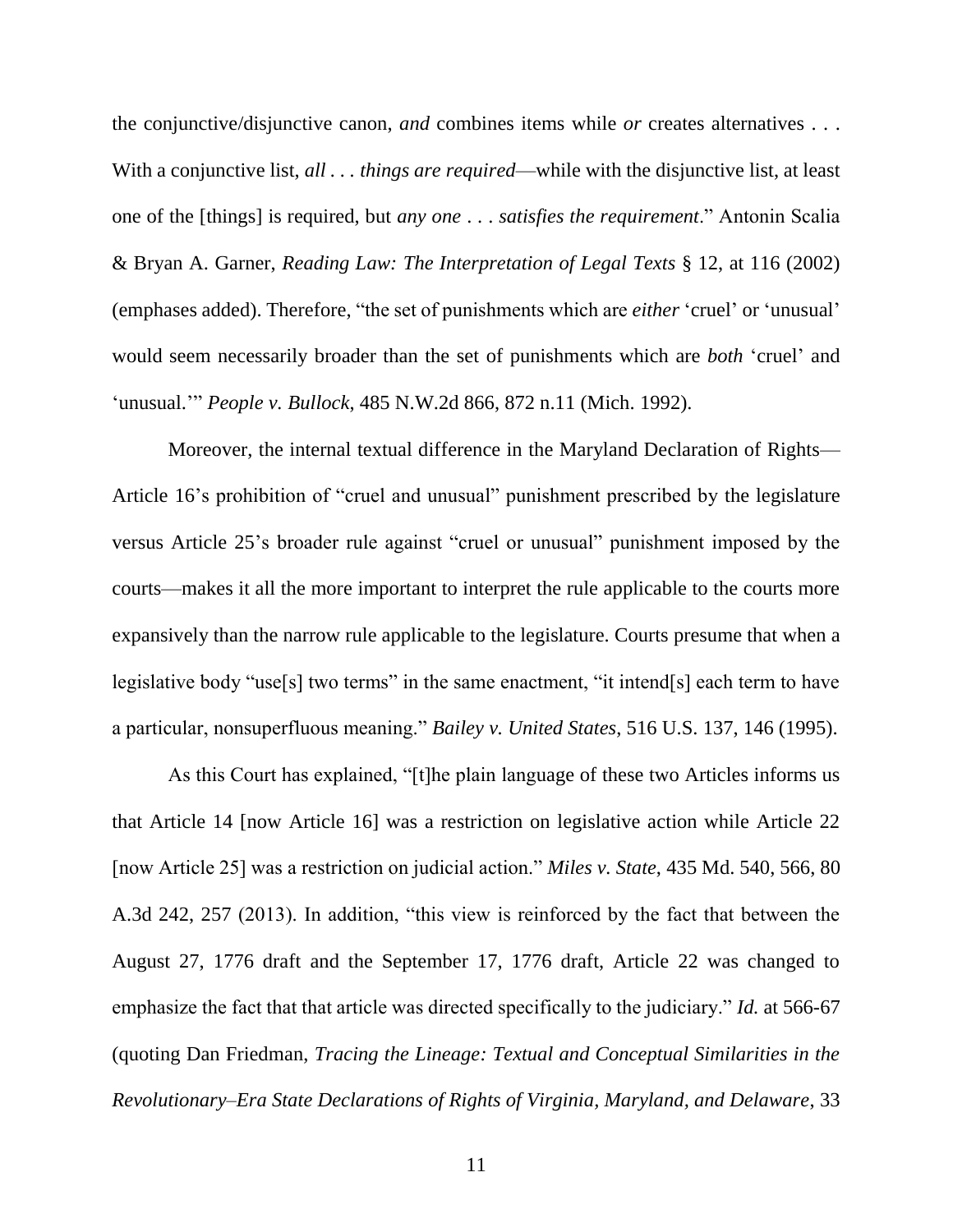<span id="page-16-3"></span>the conjunctive/disjunctive canon, *and* combines items while *or* creates alternatives . . . With a conjunctive list, *all . . . things are required*—while with the disjunctive list, at least one of the [things] is required, but *any one* . . . *satisfies the requirement*." Antonin Scalia & Bryan A. Garner, *Reading Law: The Interpretation of Legal Texts* § 12, at 116 (2002) (emphases added). Therefore, "the set of punishments which are *either* 'cruel' or 'unusual' would seem necessarily broader than the set of punishments which are *both* 'cruel' and 'unusual.'" *People v. Bullock*, 485 N.W.2d 866, 872 n.11 (Mich. 1992).

<span id="page-16-2"></span>Moreover, the internal textual difference in the Maryland Declaration of Rights— Article 16's prohibition of "cruel and unusual" punishment prescribed by the legislature versus Article 25's broader rule against "cruel or unusual" punishment imposed by the courts—makes it all the more important to interpret the rule applicable to the courts more expansively than the narrow rule applicable to the legislature. Courts presume that when a legislative body "use[s] two terms" in the same enactment, "it intend[s] each term to have a particular, nonsuperfluous meaning." *Bailey v. United States*, 516 U.S. 137, 146 (1995).

<span id="page-16-1"></span><span id="page-16-0"></span>As this Court has explained, "[t]he plain language of these two Articles informs us that Article 14 [now Article 16] was a restriction on legislative action while Article 22 [now Article 25] was a restriction on judicial action." *Miles v. State*, 435 Md. 540, 566, 80 A.3d 242, 257 (2013). In addition, "this view is reinforced by the fact that between the August 27, 1776 draft and the September 17, 1776 draft, Article 22 was changed to emphasize the fact that that article was directed specifically to the judiciary." *Id.* at 566-67 (quoting Dan Friedman, *Tracing the Lineage: Textual and Conceptual Similarities in the Revolutionary–Era State Declarations of Rights of Virginia, Maryland, and Delaware*, 33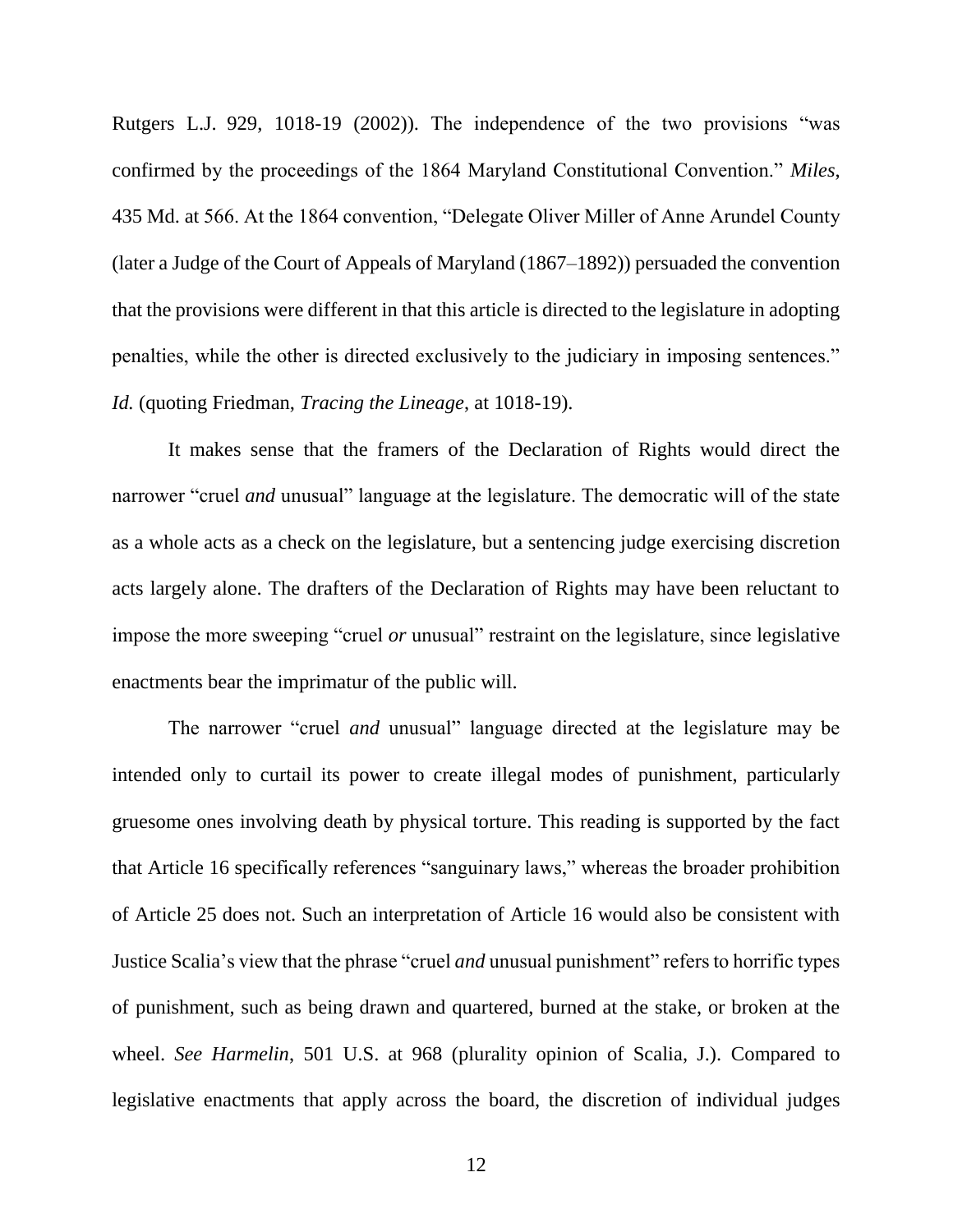<span id="page-17-0"></span>Rutgers L.J. 929, 1018-19 (2002)). The independence of the two provisions "was confirmed by the proceedings of the 1864 Maryland Constitutional Convention." *Miles*, 435 Md. at 566. At the 1864 convention, "Delegate Oliver Miller of Anne Arundel County (later a Judge of the Court of Appeals of Maryland (1867–1892)) persuaded the convention that the provisions were different in that this article is directed to the legislature in adopting penalties, while the other is directed exclusively to the judiciary in imposing sentences." *Id.* (quoting Friedman, *Tracing the Lineage*, at 1018-19).

It makes sense that the framers of the Declaration of Rights would direct the narrower "cruel *and* unusual" language at the legislature. The democratic will of the state as a whole acts as a check on the legislature, but a sentencing judge exercising discretion acts largely alone. The drafters of the Declaration of Rights may have been reluctant to impose the more sweeping "cruel *or* unusual" restraint on the legislature, since legislative enactments bear the imprimatur of the public will.

The narrower "cruel *and* unusual" language directed at the legislature may be intended only to curtail its power to create illegal modes of punishment, particularly gruesome ones involving death by physical torture. This reading is supported by the fact that Article 16 specifically references "sanguinary laws," whereas the broader prohibition of Article 25 does not. Such an interpretation of Article 16 would also be consistent with Justice Scalia's view that the phrase "cruel *and* unusual punishment" refers to horrific types of punishment, such as being drawn and quartered, burned at the stake, or broken at the wheel. *See Harmelin*, 501 U.S. at 968 (plurality opinion of Scalia, J.). Compared to legislative enactments that apply across the board, the discretion of individual judges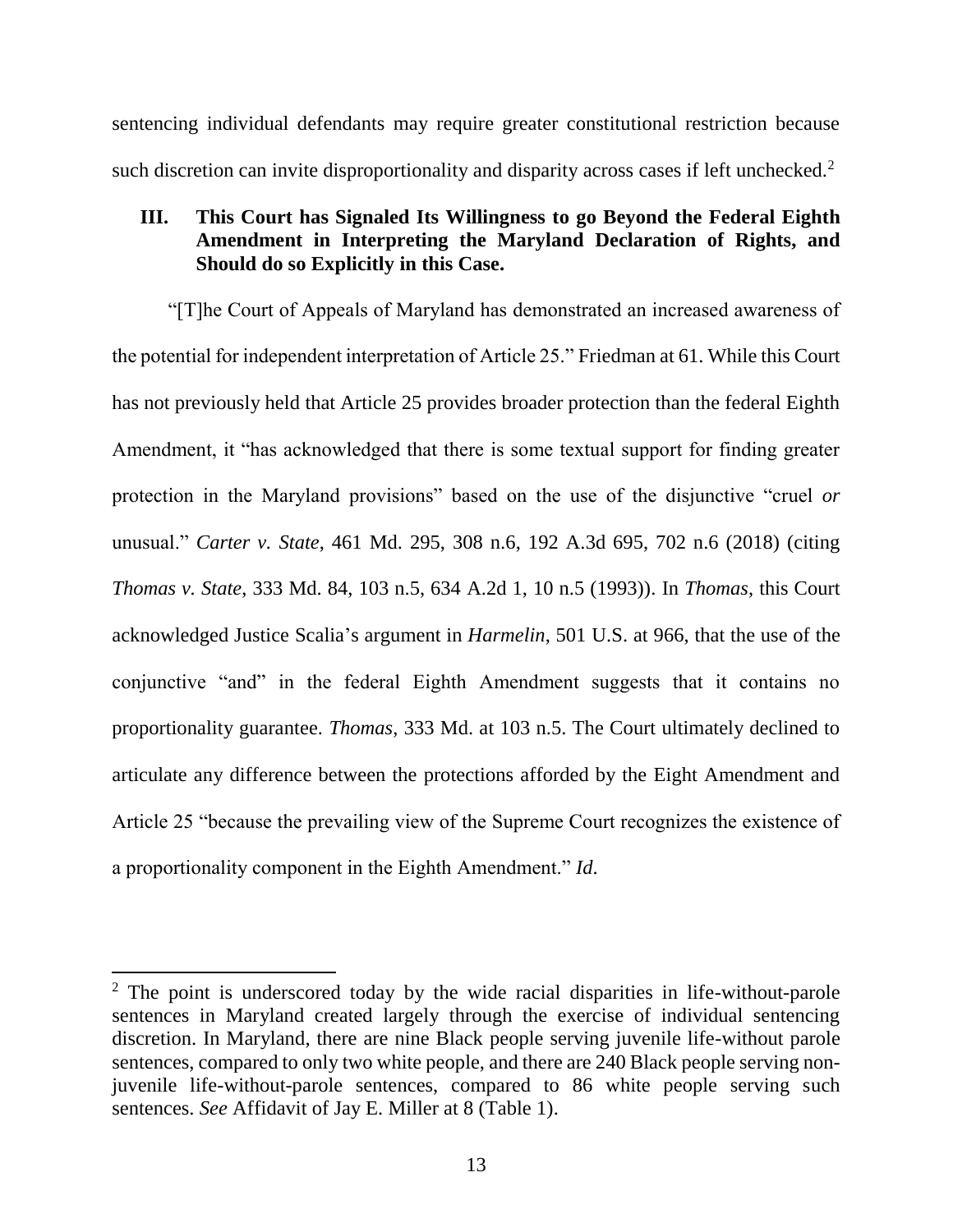sentencing individual defendants may require greater constitutional restriction because such discretion can invite disproportionality and disparity across cases if left unchecked.<sup>2</sup>

### <span id="page-18-2"></span>**III. This Court has Signaled Its Willingness to go Beyond the Federal Eighth Amendment in Interpreting the Maryland Declaration of Rights, and Should do so Explicitly in this Case.**

<span id="page-18-1"></span><span id="page-18-0"></span>"[T]he Court of Appeals of Maryland has demonstrated an increased awareness of the potential for independent interpretation of Article 25." Friedman at 61. While this Court has not previously held that Article 25 provides broader protection than the federal Eighth Amendment, it "has acknowledged that there is some textual support for finding greater protection in the Maryland provisions" based on the use of the disjunctive "cruel *or* unusual." *Carter v. State*, 461 Md. 295, 308 n.6, 192 A.3d 695, 702 n.6 (2018) (citing *Thomas v. State*, 333 Md. 84, 103 n.5, 634 A.2d 1, 10 n.5 (1993)). In *Thomas*, this Court acknowledged Justice Scalia's argument in *Harmelin*, 501 U.S. at 966, that the use of the conjunctive "and" in the federal Eighth Amendment suggests that it contains no proportionality guarantee. *Thomas*, 333 Md. at 103 n.5. The Court ultimately declined to articulate any difference between the protections afforded by the Eight Amendment and Article 25 "because the prevailing view of the Supreme Court recognizes the existence of a proportionality component in the Eighth Amendment." *Id*.

 $\overline{\phantom{a}}$ 

 $2$  The point is underscored today by the wide racial disparities in life-without-parole sentences in Maryland created largely through the exercise of individual sentencing discretion. In Maryland, there are nine Black people serving juvenile life-without parole sentences, compared to only two white people, and there are 240 Black people serving nonjuvenile life-without-parole sentences, compared to 86 white people serving such sentences. *See* Affidavit of Jay E. Miller at 8 (Table 1).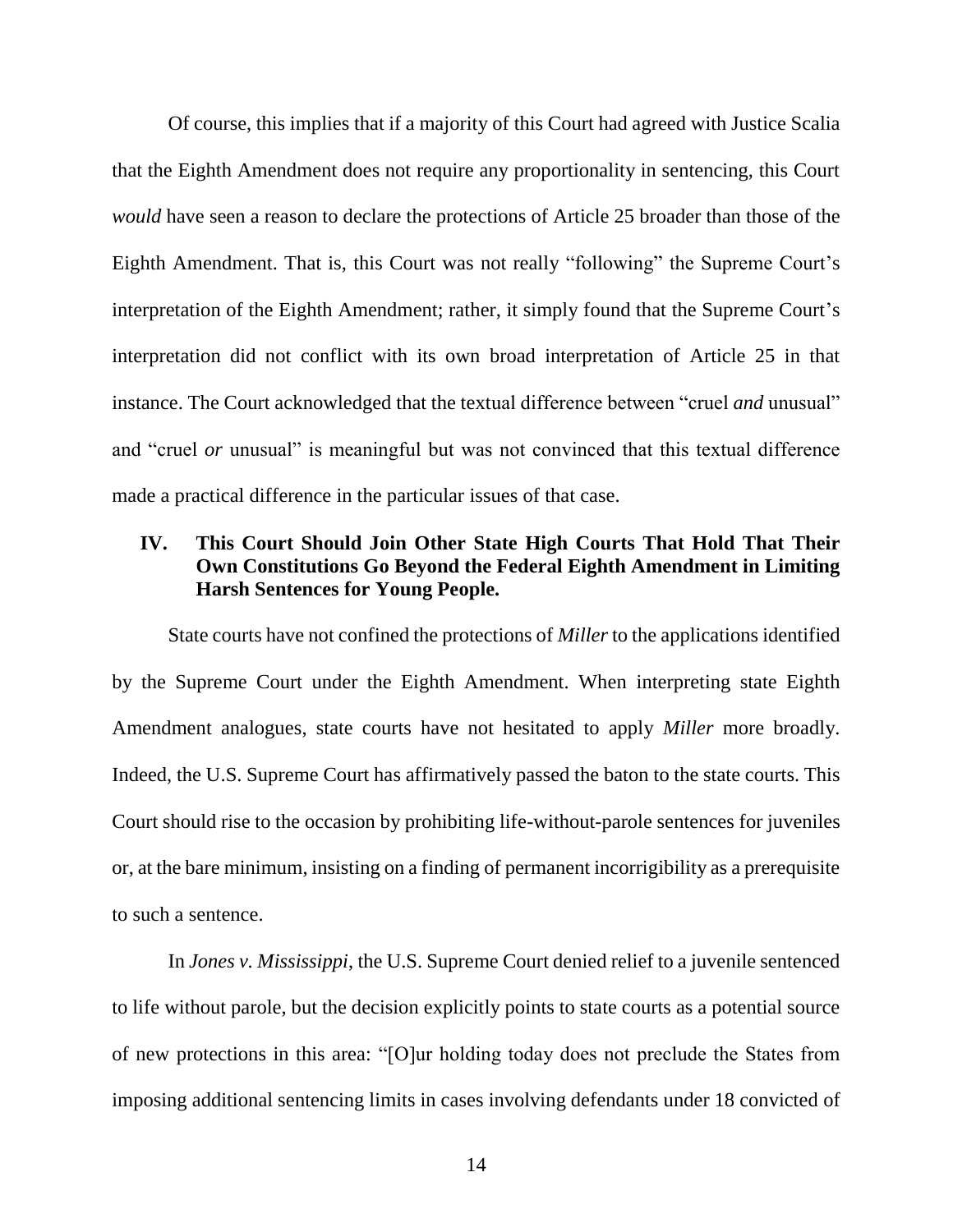Of course, this implies that if a majority of this Court had agreed with Justice Scalia that the Eighth Amendment does not require any proportionality in sentencing, this Court *would* have seen a reason to declare the protections of Article 25 broader than those of the Eighth Amendment. That is, this Court was not really "following" the Supreme Court's interpretation of the Eighth Amendment; rather, it simply found that the Supreme Court's interpretation did not conflict with its own broad interpretation of Article 25 in that instance. The Court acknowledged that the textual difference between "cruel *and* unusual" and "cruel *or* unusual" is meaningful but was not convinced that this textual difference made a practical difference in the particular issues of that case.

### **IV. This Court Should Join Other State High Courts That Hold That Their Own Constitutions Go Beyond the Federal Eighth Amendment in Limiting Harsh Sentences for Young People.**

State courts have not confined the protections of *Miller* to the applications identified by the Supreme Court under the Eighth Amendment. When interpreting state Eighth Amendment analogues, state courts have not hesitated to apply *Miller* more broadly. Indeed, the U.S. Supreme Court has affirmatively passed the baton to the state courts. This Court should rise to the occasion by prohibiting life-without-parole sentences for juveniles or, at the bare minimum, insisting on a finding of permanent incorrigibility as a prerequisite to such a sentence.

<span id="page-19-0"></span>In *Jones v. Mississippi*, the U.S. Supreme Court denied relief to a juvenile sentenced to life without parole, but the decision explicitly points to state courts as a potential source of new protections in this area: "[O]ur holding today does not preclude the States from imposing additional sentencing limits in cases involving defendants under 18 convicted of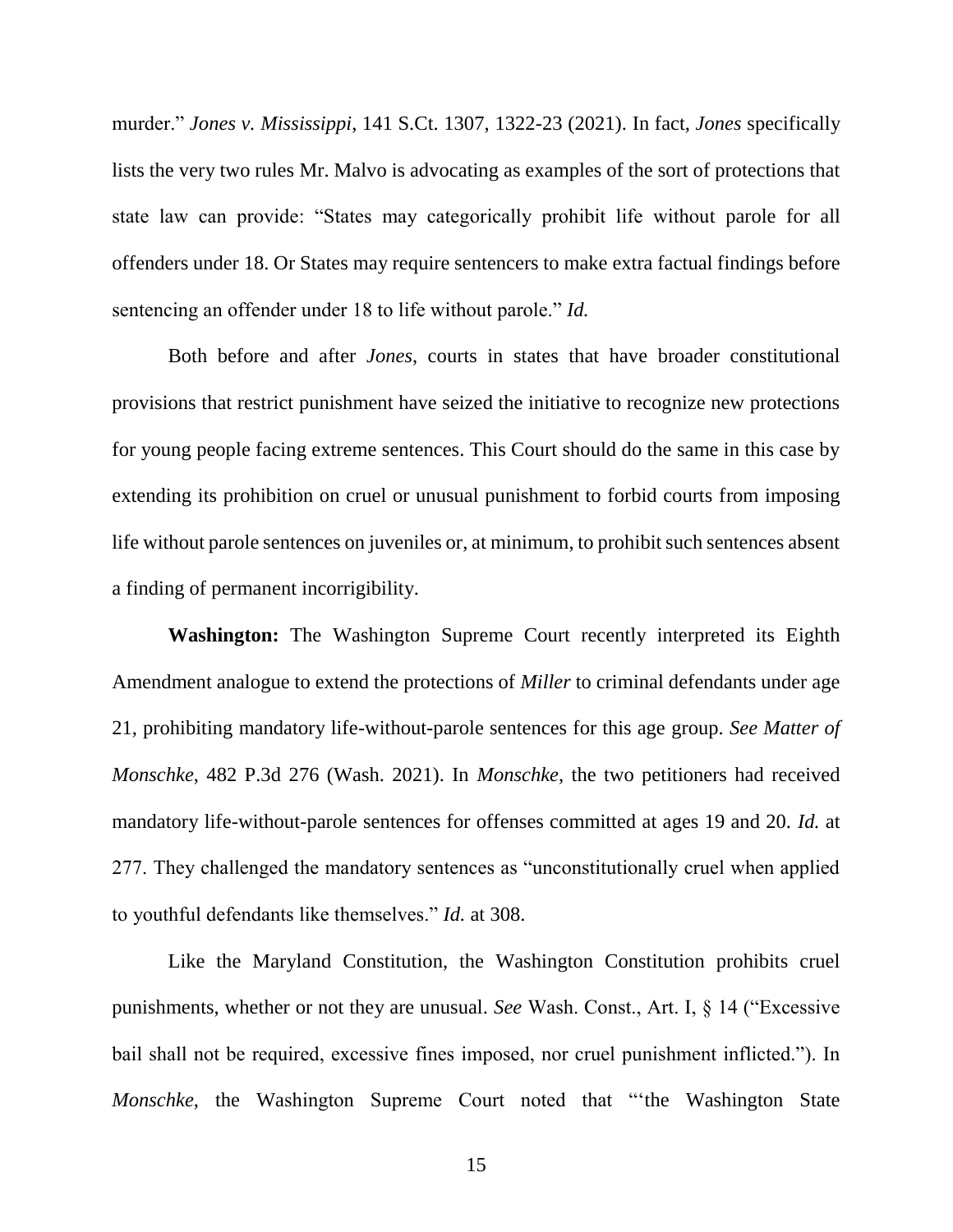<span id="page-20-0"></span>murder." *Jones v. Mississippi*, 141 S.Ct. 1307, 1322-23 (2021). In fact, *Jones* specifically lists the very two rules Mr. Malvo is advocating as examples of the sort of protections that state law can provide: "States may categorically prohibit life without parole for all offenders under 18. Or States may require sentencers to make extra factual findings before sentencing an offender under 18 to life without parole." *Id.*

Both before and after *Jones*, courts in states that have broader constitutional provisions that restrict punishment have seized the initiative to recognize new protections for young people facing extreme sentences. This Court should do the same in this case by extending its prohibition on cruel or unusual punishment to forbid courts from imposing life without parole sentences on juveniles or, at minimum, to prohibit such sentences absent a finding of permanent incorrigibility.

<span id="page-20-1"></span>**Washington:** The Washington Supreme Court recently interpreted its Eighth Amendment analogue to extend the protections of *Miller* to criminal defendants under age 21, prohibiting mandatory life-without-parole sentences for this age group. *See Matter of Monschke*, 482 P.3d 276 (Wash. 2021). In *Monschke*, the two petitioners had received mandatory life-without-parole sentences for offenses committed at ages 19 and 20. *Id.* at 277. They challenged the mandatory sentences as "unconstitutionally cruel when applied to youthful defendants like themselves." *Id.* at 308.

<span id="page-20-2"></span>Like the Maryland Constitution, the Washington Constitution prohibits cruel punishments, whether or not they are unusual. *See* Wash. Const., Art. I, § 14 ("Excessive bail shall not be required, excessive fines imposed, nor cruel punishment inflicted."). In *Monschke*, the Washington Supreme Court noted that "'the Washington State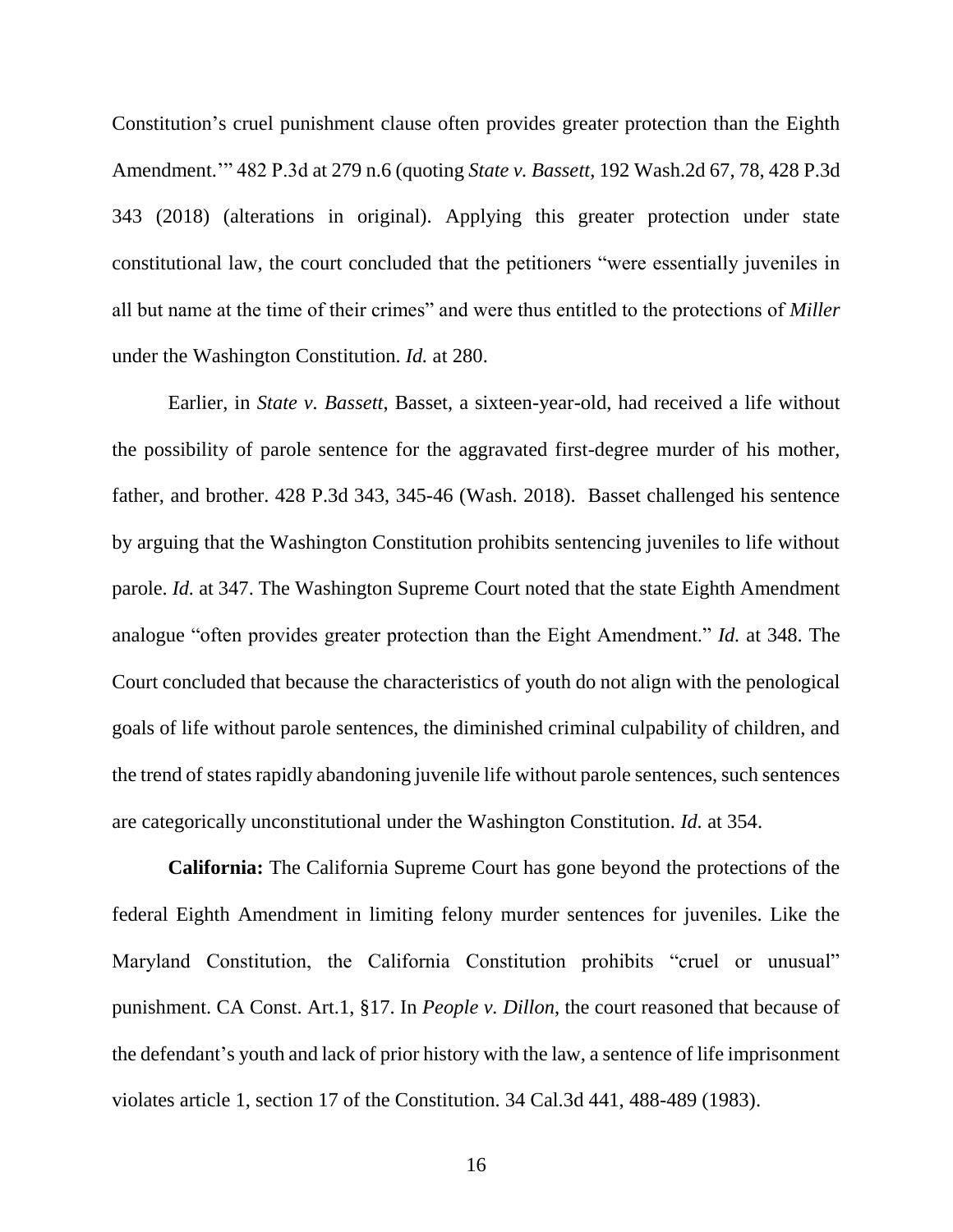<span id="page-21-0"></span>Constitution's cruel punishment clause often provides greater protection than the Eighth Amendment.'" 482 P.3d at 279 n.6 (quoting *State v. Bassett*, 192 Wash.2d 67, 78, 428 P.3d 343 (2018) (alterations in original). Applying this greater protection under state constitutional law, the court concluded that the petitioners "were essentially juveniles in all but name at the time of their crimes" and were thus entitled to the protections of *Miller*  under the Washington Constitution. *Id.* at 280.

<span id="page-21-3"></span>Earlier, in *State v. Bassett*, Basset, a sixteen-year-old, had received a life without the possibility of parole sentence for the aggravated first-degree murder of his mother, father, and brother. 428 P.3d 343, 345-46 (Wash. 2018). Basset challenged his sentence by arguing that the Washington Constitution prohibits sentencing juveniles to life without parole. *Id.* at 347. The Washington Supreme Court noted that the state Eighth Amendment analogue "often provides greater protection than the Eight Amendment." *Id.* at 348. The Court concluded that because the characteristics of youth do not align with the penological goals of life without parole sentences, the diminished criminal culpability of children, and the trend of states rapidly abandoning juvenile life without parole sentences, such sentences are categorically unconstitutional under the Washington Constitution. *Id.* at 354.

<span id="page-21-4"></span><span id="page-21-2"></span><span id="page-21-1"></span>**California:** The California Supreme Court has gone beyond the protections of the federal Eighth Amendment in limiting felony murder sentences for juveniles. Like the Maryland Constitution, the California Constitution prohibits "cruel or unusual" punishment. CA Const. Art.1, §17. In *People v. Dillon*, the court reasoned that because of the defendant's youth and lack of prior history with the law, a sentence of life imprisonment violates article 1, section 17 of the Constitution. 34 Cal.3d 441, 488-489 (1983).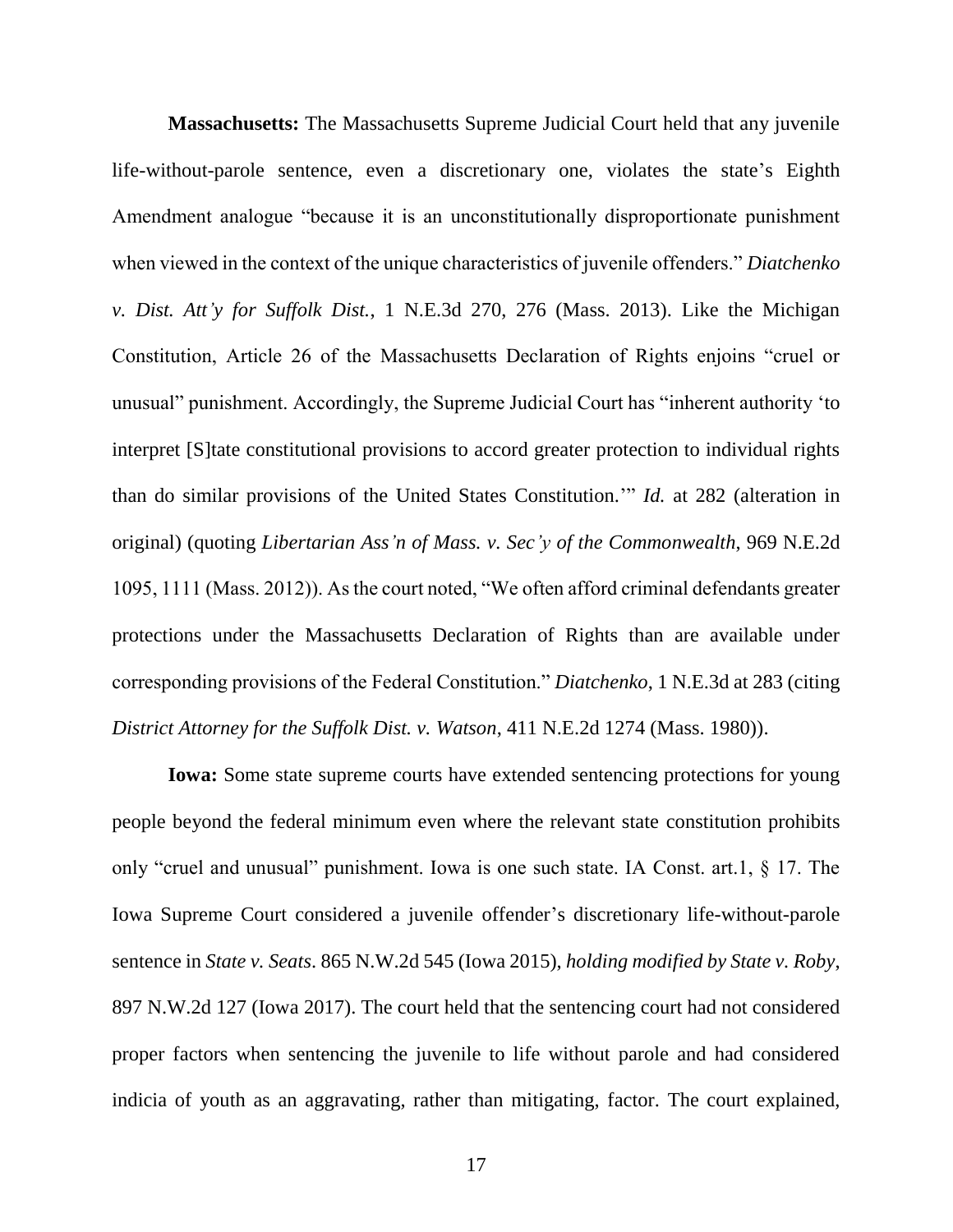<span id="page-22-0"></span>**Massachusetts:** The Massachusetts Supreme Judicial Court held that any juvenile life-without-parole sentence, even a discretionary one, violates the state's Eighth Amendment analogue "because it is an unconstitutionally disproportionate punishment when viewed in the context of the unique characteristics of juvenile offenders." *Diatchenko v. Dist. Att'y for Suffolk Dist.*, 1 N.E.3d 270, 276 (Mass. 2013). Like the Michigan Constitution, Article 26 of the Massachusetts Declaration of Rights enjoins "cruel or unusual" punishment. Accordingly, the Supreme Judicial Court has "inherent authority 'to interpret [S]tate constitutional provisions to accord greater protection to individual rights than do similar provisions of the United States Constitution.'" *Id.* at 282 (alteration in original) (quoting *Libertarian Ass'n of Mass. v. Sec'y of the Commonwealth*, 969 N.E.2d 1095, 1111 (Mass. 2012)). As the court noted, "We often afford criminal defendants greater protections under the Massachusetts Declaration of Rights than are available under corresponding provisions of the Federal Constitution." *Diatchenko*, 1 N.E.3d at 283 (citing *District Attorney for the Suffolk Dist. v. Watson*, 411 N.E.2d 1274 (Mass. 1980)).

<span id="page-22-2"></span><span id="page-22-1"></span>**Iowa:** Some state supreme courts have extended sentencing protections for young people beyond the federal minimum even where the relevant state constitution prohibits only "cruel and unusual" punishment. Iowa is one such state. IA Const. art.1, § 17. The Iowa Supreme Court considered a juvenile offender's discretionary life-without-parole sentence in *State v. Seats*. 865 N.W.2d 545 (Iowa 2015), *holding modified by State v. Roby*, 897 N.W.2d 127 (Iowa 2017). The court held that the sentencing court had not considered proper factors when sentencing the juvenile to life without parole and had considered indicia of youth as an aggravating, rather than mitigating, factor. The court explained,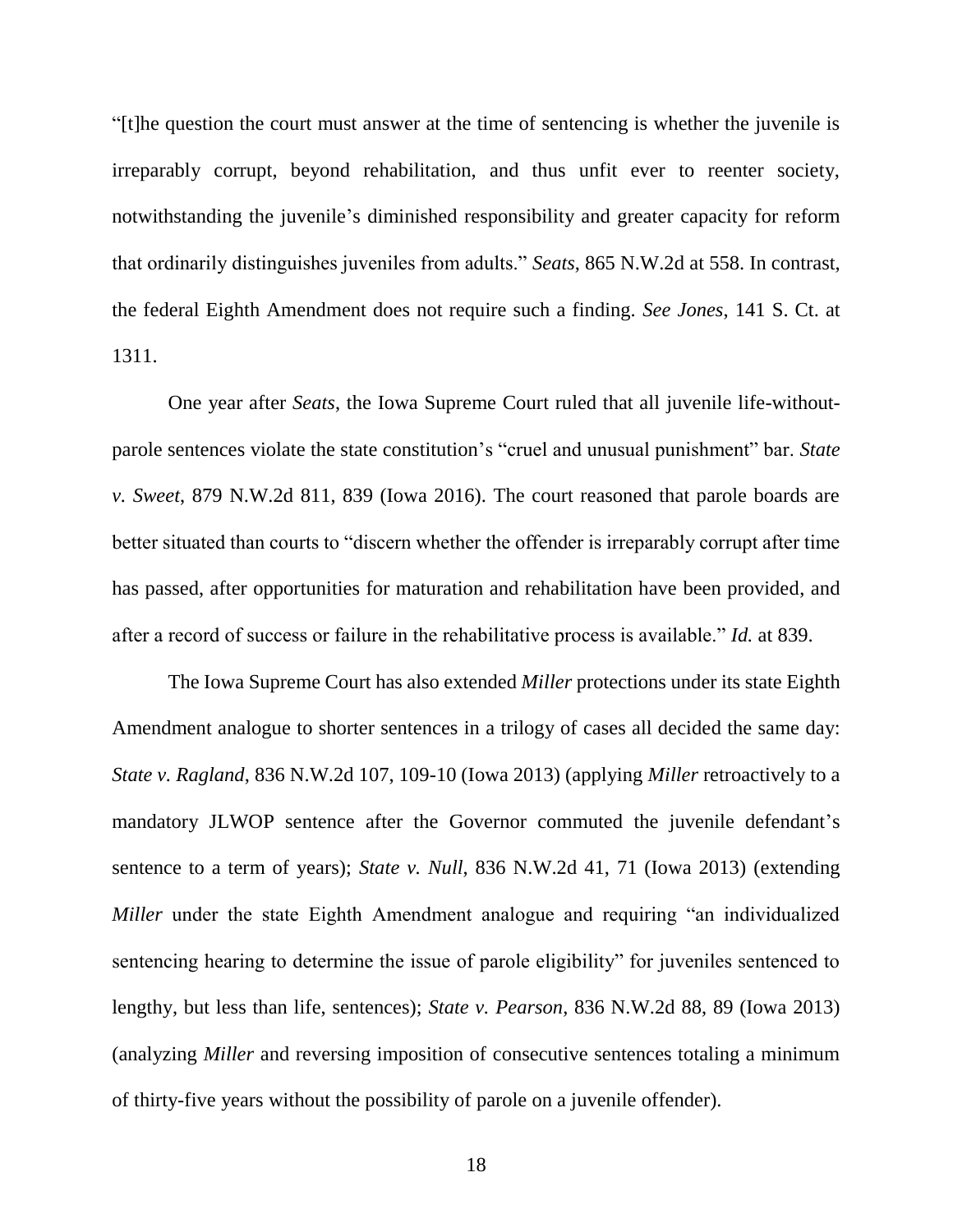<span id="page-23-4"></span>"[t]he question the court must answer at the time of sentencing is whether the juvenile is irreparably corrupt, beyond rehabilitation, and thus unfit ever to reenter society, notwithstanding the juvenile's diminished responsibility and greater capacity for reform that ordinarily distinguishes juveniles from adults." *Seats*, 865 N.W.2d at 558. In contrast, the federal Eighth Amendment does not require such a finding. *See Jones*, 141 S. Ct. at 1311.

<span id="page-23-5"></span><span id="page-23-0"></span>One year after *Seats*, the Iowa Supreme Court ruled that all juvenile life-withoutparole sentences violate the state constitution's "cruel and unusual punishment" bar. *State v. Sweet*, 879 N.W.2d 811, 839 (Iowa 2016). The court reasoned that parole boards are better situated than courts to "discern whether the offender is irreparably corrupt after time has passed, after opportunities for maturation and rehabilitation have been provided, and after a record of success or failure in the rehabilitative process is available." *Id.* at 839.

<span id="page-23-3"></span><span id="page-23-2"></span><span id="page-23-1"></span>The Iowa Supreme Court has also extended *Miller* protections under its state Eighth Amendment analogue to shorter sentences in a trilogy of cases all decided the same day: *State v. Ragland*, 836 N.W.2d 107, 109-10 (Iowa 2013) (applying *Miller* retroactively to a mandatory JLWOP sentence after the Governor commuted the juvenile defendant's sentence to a term of years); *State v. Null*, 836 N.W.2d 41, 71 (Iowa 2013) (extending *Miller* under the state Eighth Amendment analogue and requiring "an individualized sentencing hearing to determine the issue of parole eligibility" for juveniles sentenced to lengthy, but less than life, sentences); *State v. Pearson*, 836 N.W.2d 88, 89 (Iowa 2013) (analyzing *Miller* and reversing imposition of consecutive sentences totaling a minimum of thirty-five years without the possibility of parole on a juvenile offender).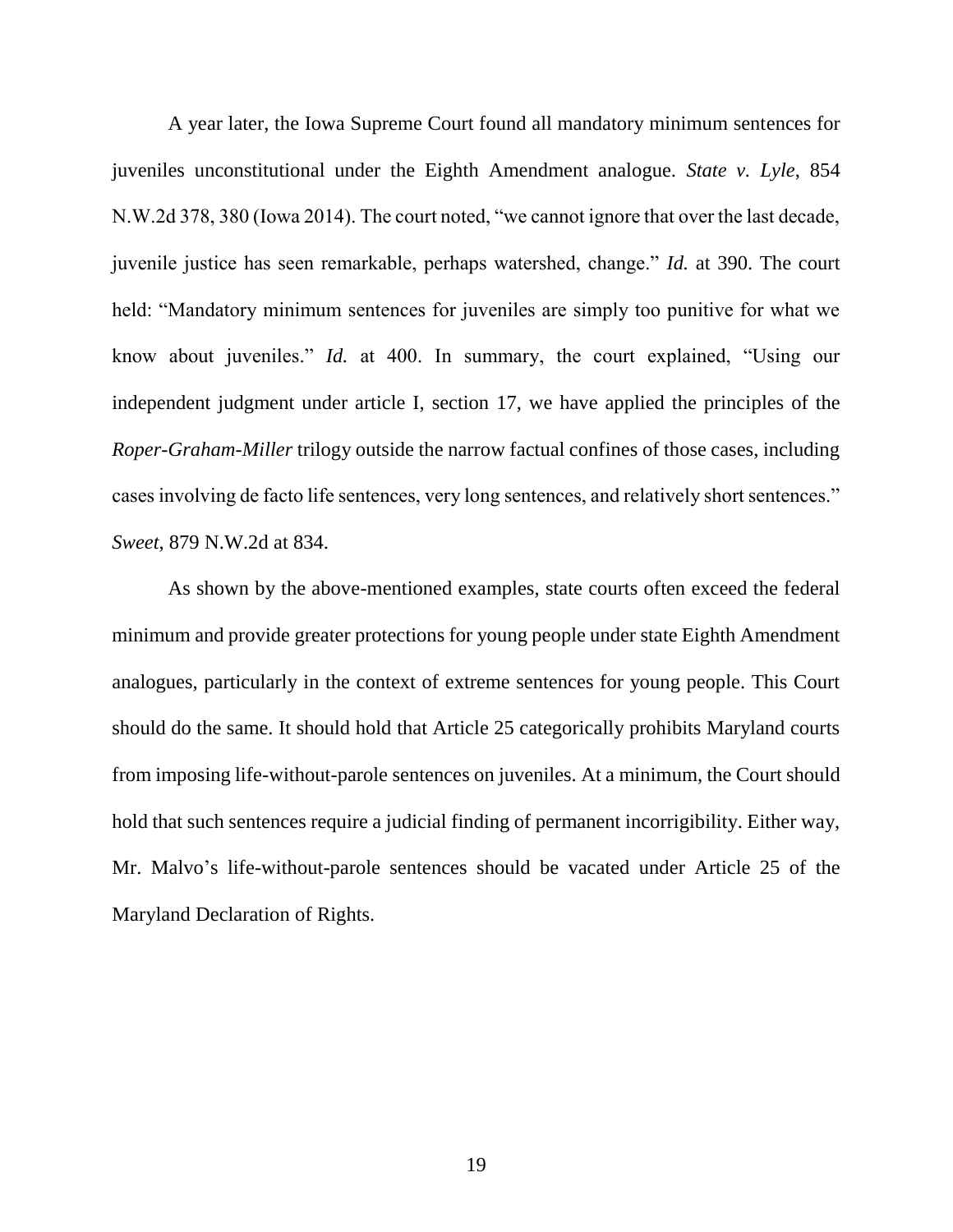<span id="page-24-0"></span>A year later, the Iowa Supreme Court found all mandatory minimum sentences for juveniles unconstitutional under the Eighth Amendment analogue. *State v. Lyle*, 854 N.W.2d 378, 380 (Iowa 2014). The court noted, "we cannot ignore that over the last decade, juvenile justice has seen remarkable, perhaps watershed, change." *Id.* at 390. The court held: "Mandatory minimum sentences for juveniles are simply too punitive for what we know about juveniles." *Id.* at 400. In summary, the court explained, "Using our independent judgment under article I, section 17, we have applied the principles of the *Roper-Graham-Miller* trilogy outside the narrow factual confines of those cases, including cases involving de facto life sentences, very long sentences, and relatively short sentences." *Sweet*, 879 N.W.2d at 834.

<span id="page-24-1"></span>As shown by the above-mentioned examples, state courts often exceed the federal minimum and provide greater protections for young people under state Eighth Amendment analogues, particularly in the context of extreme sentences for young people. This Court should do the same. It should hold that Article 25 categorically prohibits Maryland courts from imposing life-without-parole sentences on juveniles. At a minimum, the Court should hold that such sentences require a judicial finding of permanent incorrigibility. Either way, Mr. Malvo's life-without-parole sentences should be vacated under Article 25 of the Maryland Declaration of Rights.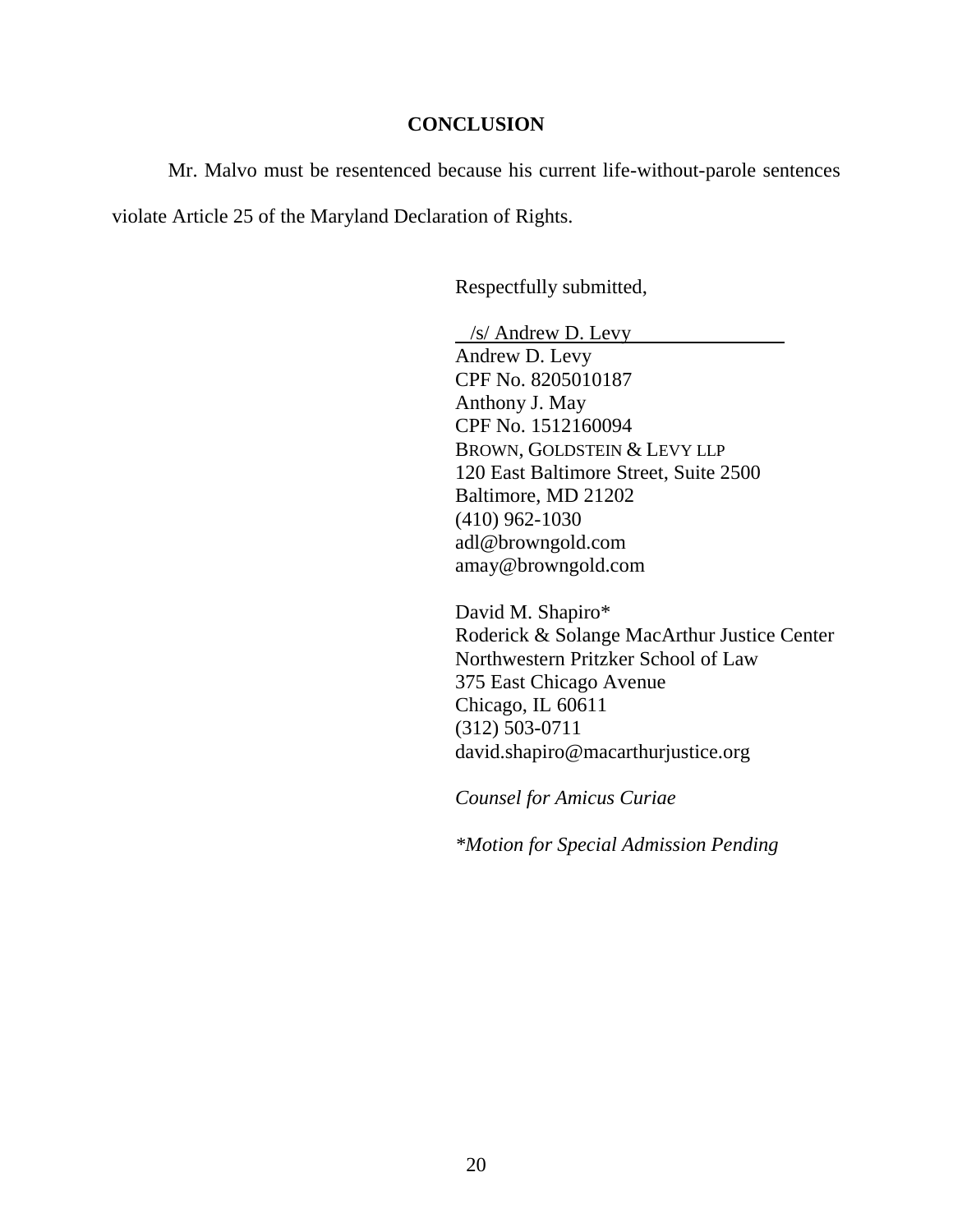#### **CONCLUSION**

Mr. Malvo must be resentenced because his current life-without-parole sentences violate Article 25 of the Maryland Declaration of Rights.

Respectfully submitted,

 /s/ Andrew D. Levy Andrew D. Levy CPF No. 8205010187 Anthony J. May CPF No. 1512160094 BROWN, GOLDSTEIN & LEVY LLP 120 East Baltimore Street, Suite 2500 Baltimore, MD 21202 (410) 962-1030 adl@browngold.com amay@browngold.com

David M. Shapiro\* Roderick & Solange MacArthur Justice Center Northwestern Pritzker School of Law 375 East Chicago Avenue Chicago, IL 60611 (312) 503-0711 david.shapiro@macarthurjustice.org

*Counsel for Amicus Curiae*

*\*Motion for Special Admission Pending*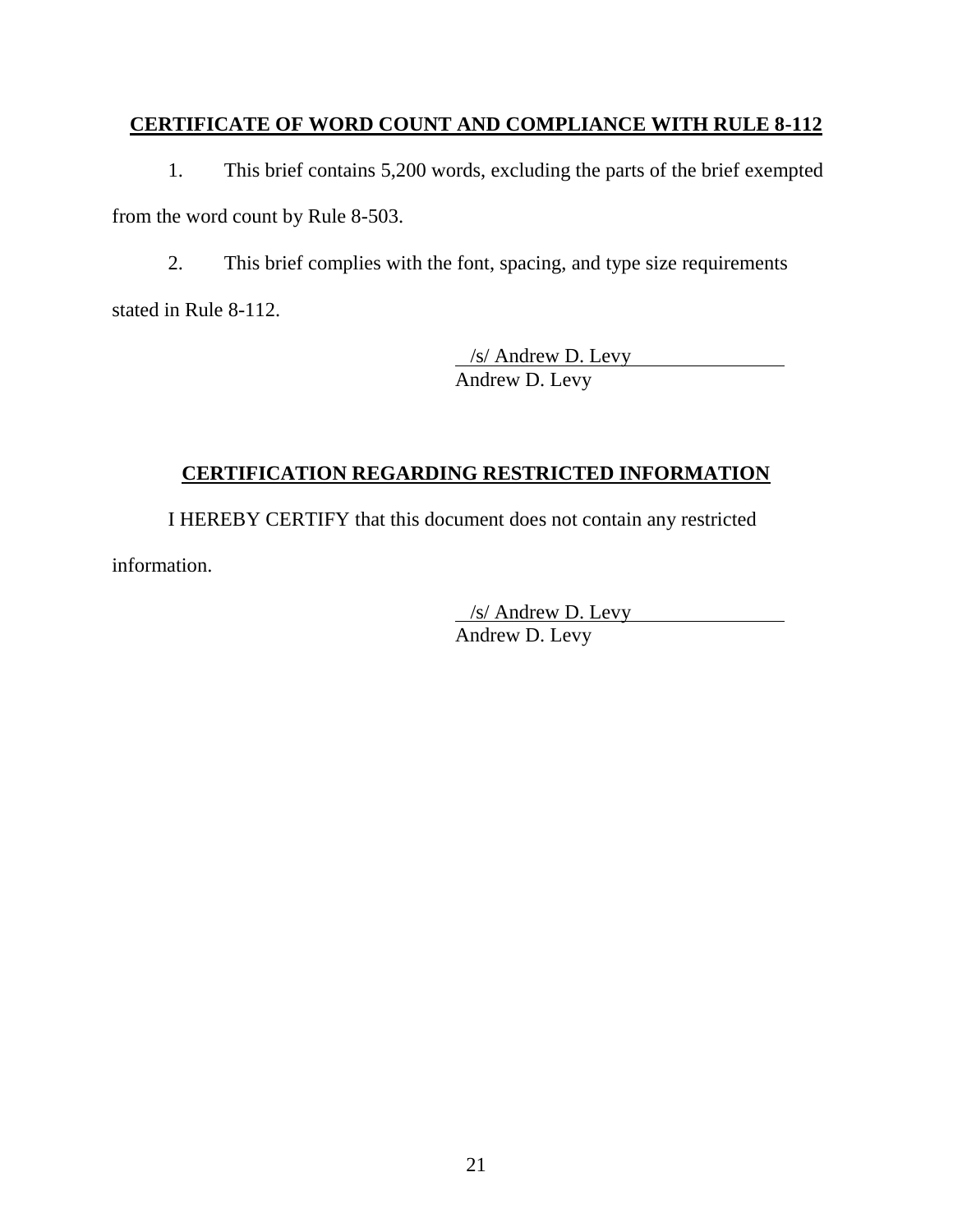## **CERTIFICATE OF WORD COUNT AND COMPLIANCE WITH RULE 8-112**

1. This brief contains 5,200 words, excluding the parts of the brief exempted from the word count by Rule 8-503.

2. This brief complies with the font, spacing, and type size requirements stated in Rule 8-112.

> /s/ Andrew D. Levy Andrew D. Levy

# **CERTIFICATION REGARDING RESTRICTED INFORMATION**

I HEREBY CERTIFY that this document does not contain any restricted information.

> /s/ Andrew D. Levy Andrew D. Levy